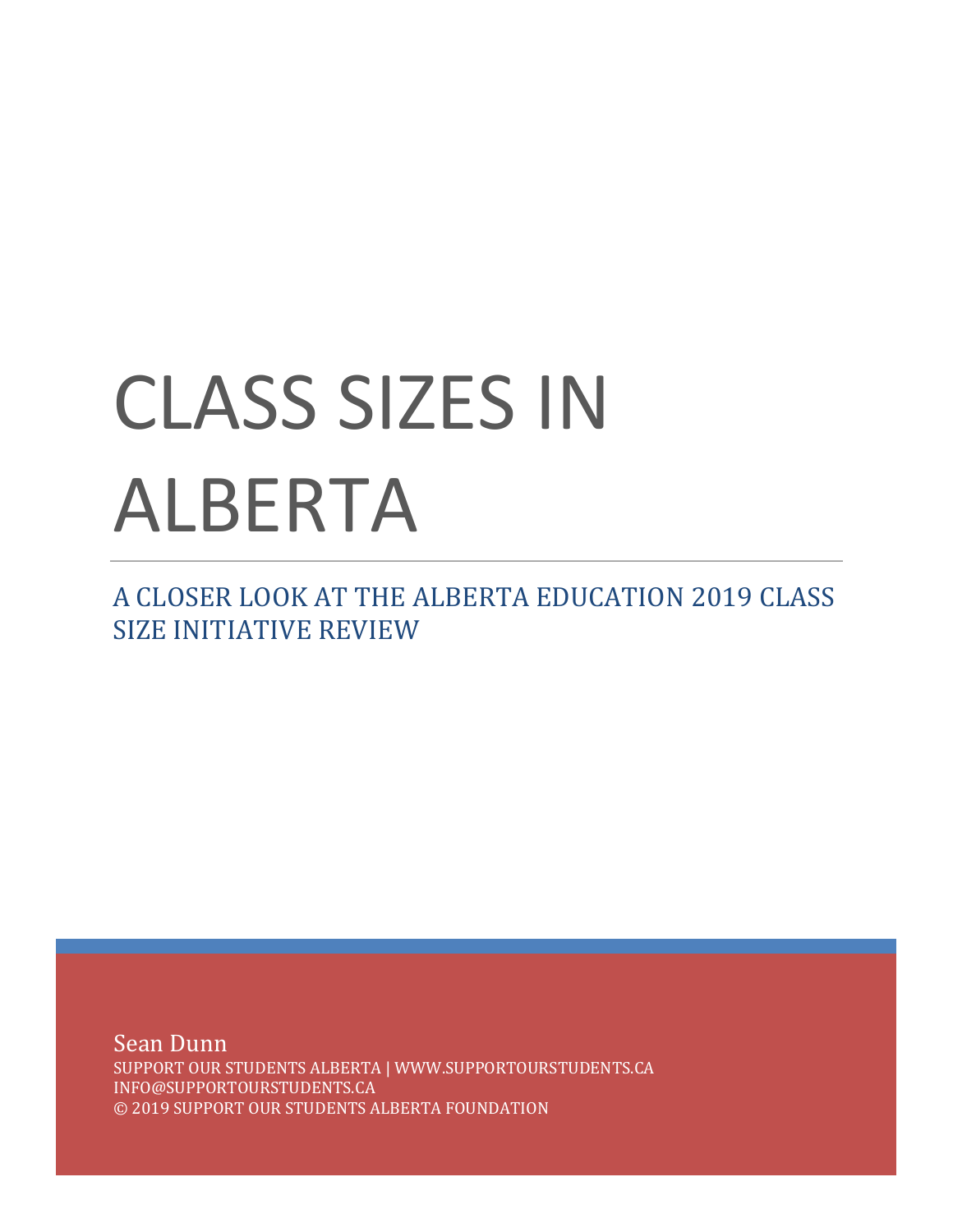# CLASS SIZES IN ALBERTA

A CLOSER LOOK AT THE ALBERTA EDUCATION 2019 CLASS SIZE INITIATIVE REVIEW

Sean Dunn SUPPORT OUR STUDENTS ALBERTA | WWW.SUPPORTOURSTUDENTS.CA INFO@SUPPORTOURSTUDENTS.CA © 2019 SUPPORT OUR STUDENTS ALBERTA FOUNDATION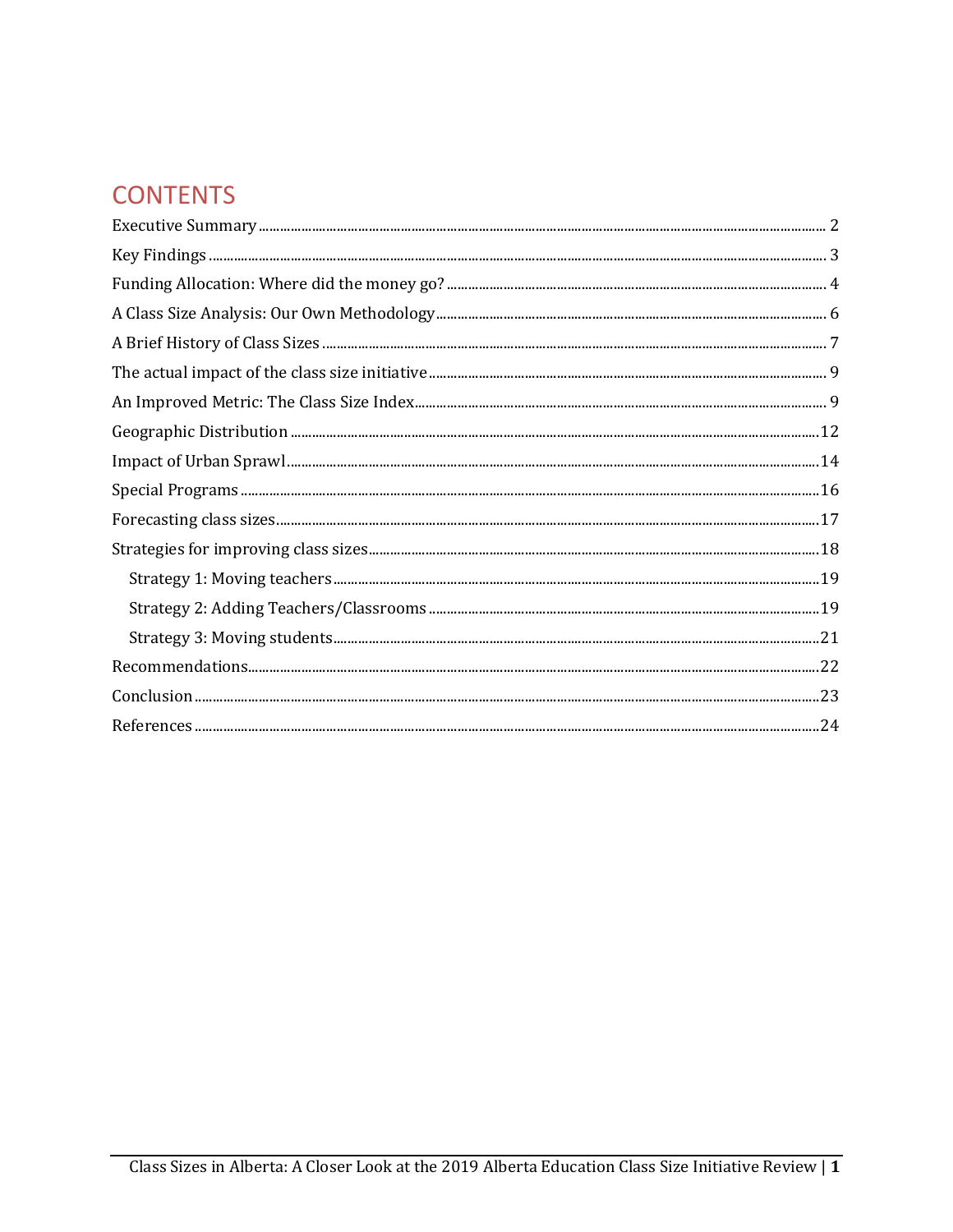# **CONTENTS**

| $\label{eq:recommend} Recommendations. 22$ |
|--------------------------------------------|
|                                            |
|                                            |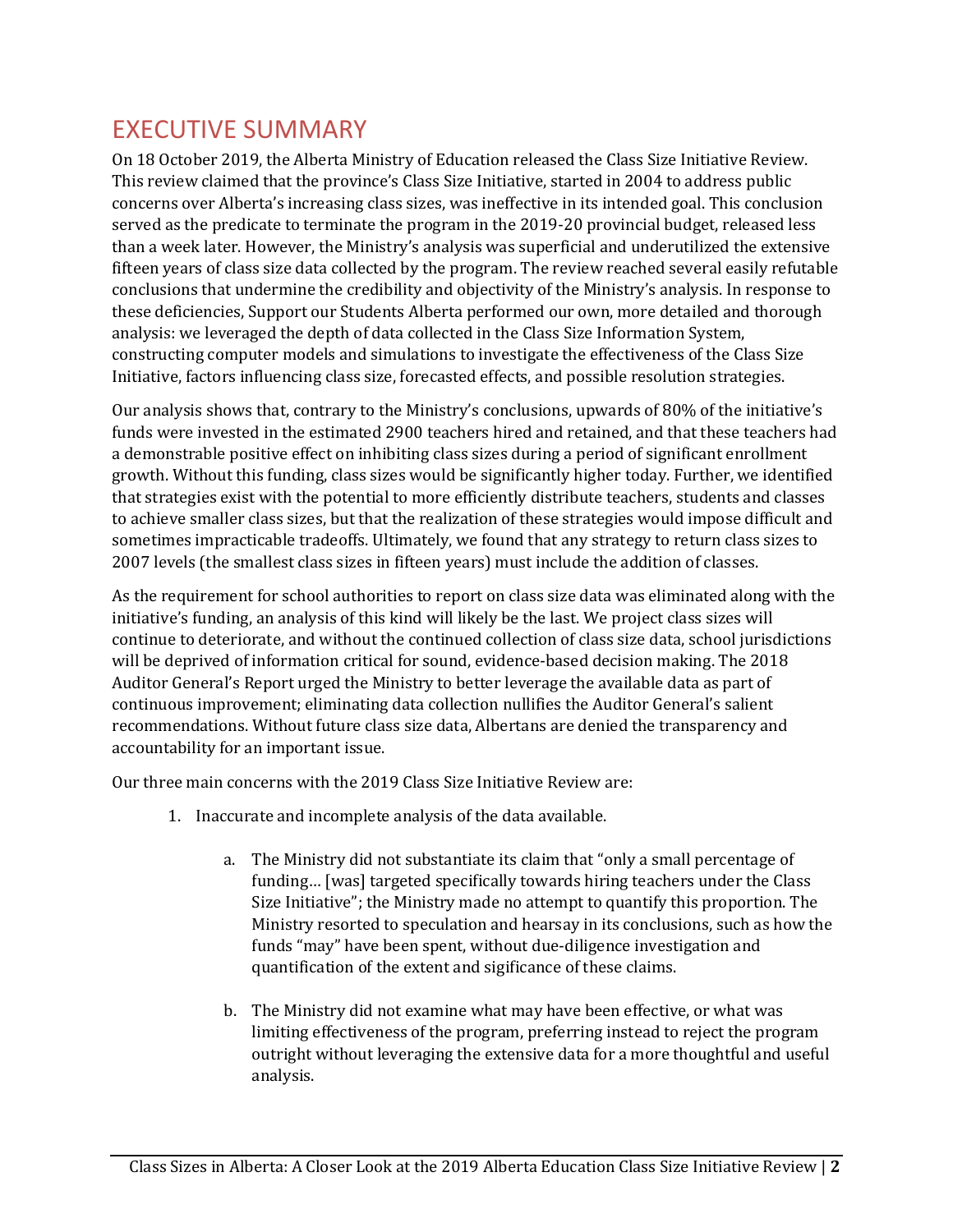# <span id="page-2-0"></span>EXECUTIVE SUMMARY

On 18 October 2019, the Alberta Ministry of Education released the Class Size Initiative Review. This review claimed that the province's Class Size Initiative, started in 2004 to address public concerns over Alberta's increasing class sizes, was ineffective in its intended goal. This conclusion served as the predicate to terminate the program in the 2019-20 provincial budget, released less than a week later. However, the Ministry's analysis was superficial and underutilized the extensive fifteen years of class size data collected by the program. The review reached several easily refutable conclusions that undermine the credibility and objectivity of the Ministry's analysis. In response to these deficiencies, Support our Students Alberta performed our own, more detailed and thorough analysis: we leveraged the depth of data collected in the Class Size Information System, constructing computer models and simulations to investigate the effectiveness of the Class Size Initiative, factors influencing class size, forecasted effects, and possible resolution strategies.

Our analysis shows that, contrary to the Ministry's conclusions, upwards of 80% of the initiative's funds were invested in the estimated 2900 teachers hired and retained, and that these teachers had a demonstrable positive effect on inhibiting class sizes during a period of significant enrollment growth. Without this funding, class sizes would be significantly higher today. Further, we identified that strategies exist with the potential to more efficiently distribute teachers, students and classes to achieve smaller class sizes, but that the realization of these strategies would impose difficult and sometimes impracticable tradeoffs. Ultimately, we found that any strategy to return class sizes to 2007 levels (the smallest class sizes in fifteen years) must include the addition of classes.

As the requirement for school authorities to report on class size data was eliminated along with the initiative's funding, an analysis of this kind will likely be the last. We project class sizes will continue to deteriorate, and without the continued collection of class size data, school jurisdictions will be deprived of information critical for sound, evidence-based decision making. The 2018 Auditor General's Report urged the Ministry to better leverage the available data as part of continuous improvement; eliminating data collection nullifies the Auditor General's salient recommendations. Without future class size data, Albertans are denied the transparency and accountability for an important issue.

Our three main concerns with the 2019 Class Size Initiative Review are:

- 1. Inaccurate and incomplete analysis of the data available.
	- a. The Ministry did not substantiate its claim that "only a small percentage of funding… [was] targeted specifically towards hiring teachers under the Class Size Initiative"; the Ministry made no attempt to quantify this proportion. The Ministry resorted to speculation and hearsay in its conclusions, such as how the funds "may" have been spent, without due-diligence investigation and quantification of the extent and sigificance of these claims.
	- b. The Ministry did not examine what may have been effective, or what was limiting effectiveness of the program, preferring instead to reject the program outright without leveraging the extensive data for a more thoughtful and useful analysis.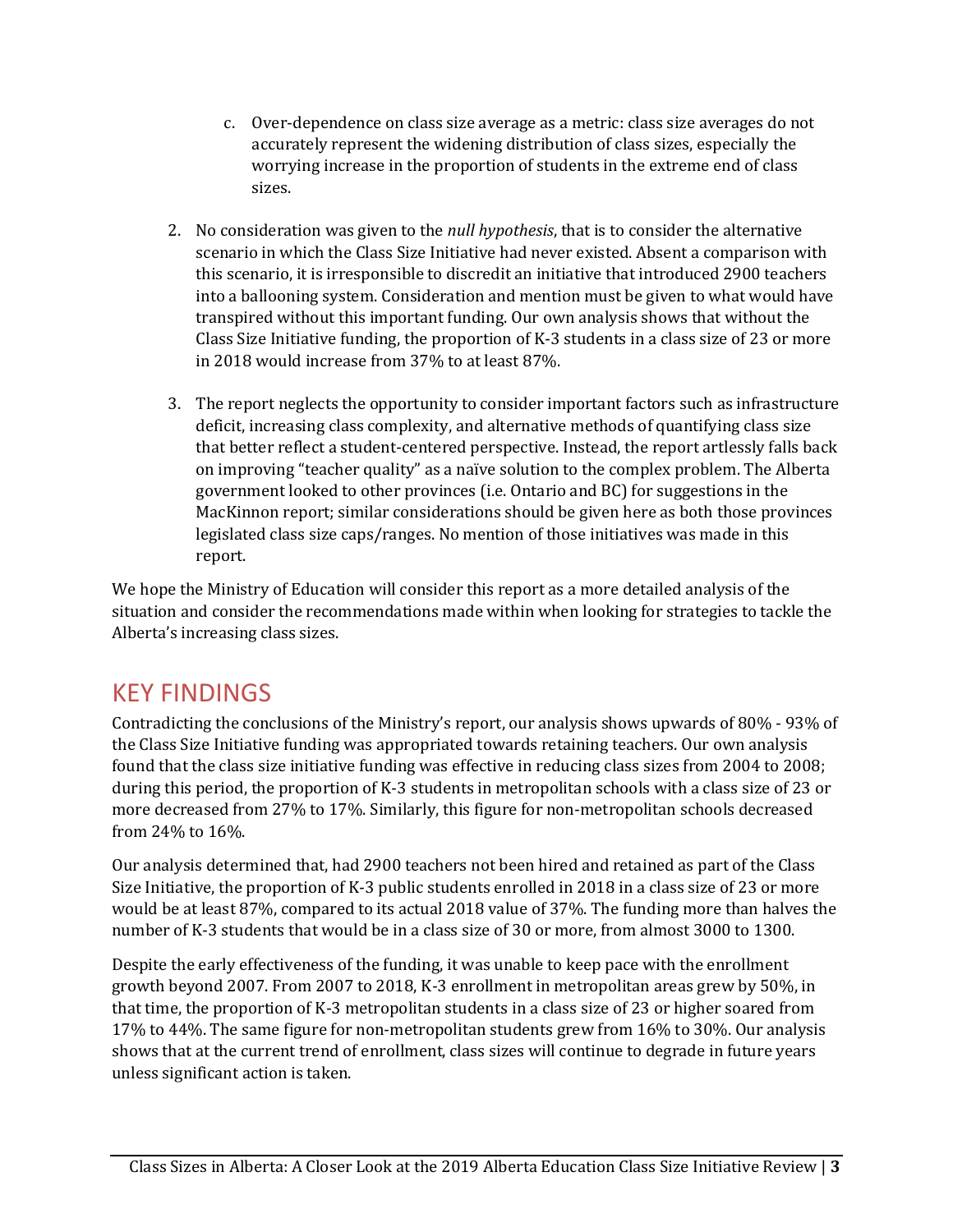- c. Over-dependence on class size average as a metric: class size averages do not accurately represent the widening distribution of class sizes, especially the worrying increase in the proportion of students in the extreme end of class sizes.
- 2. No consideration was given to the *null hypothesis*, that is to consider the alternative scenario in which the Class Size Initiative had never existed. Absent a comparison with this scenario, it is irresponsible to discredit an initiative that introduced 2900 teachers into a ballooning system. Consideration and mention must be given to what would have transpired without this important funding. Our own analysis shows that without the Class Size Initiative funding, the proportion of K-3 students in a class size of 23 or more in 2018 would increase from 37% to at least 87%.
- 3. The report neglects the opportunity to consider important factors such as infrastructure deficit, increasing class complexity, and alternative methods of quantifying class size that better reflect a student-centered perspective. Instead, the report artlessly falls back on improving "teacher quality" as a naïve solution to the complex problem. The Alberta government looked to other provinces (i.e. Ontario and BC) for suggestions in the MacKinnon report; similar considerations should be given here as both those provinces legislated class size caps/ranges. No mention of those initiatives was made in this report.

We hope the Ministry of Education will consider this report as a more detailed analysis of the situation and consider the recommendations made within when looking for strategies to tackle the Alberta's increasing class sizes.

## <span id="page-3-0"></span>KEY FINDINGS

Contradicting the conclusions of the Ministry's report, our analysis shows upwards of 80% - 93% of the Class Size Initiative funding was appropriated towards retaining teachers. Our own analysis found that the class size initiative funding was effective in reducing class sizes from 2004 to 2008; during this period, the proportion of K-3 students in metropolitan schools with a class size of 23 or more decreased from 27% to 17%. Similarly, this figure for non-metropolitan schools decreased from 24% to 16%.

Our analysis determined that, had 2900 teachers not been hired and retained as part of the Class Size Initiative, the proportion of K-3 public students enrolled in 2018 in a class size of 23 or more would be at least 87%, compared to its actual 2018 value of 37%. The funding more than halves the number of K-3 students that would be in a class size of 30 or more, from almost 3000 to 1300.

Despite the early effectiveness of the funding, it was unable to keep pace with the enrollment growth beyond 2007. From 2007 to 2018, K-3 enrollment in metropolitan areas grew by 50%, in that time, the proportion of K-3 metropolitan students in a class size of 23 or higher soared from 17% to 44%. The same figure for non-metropolitan students grew from 16% to 30%. Our analysis shows that at the current trend of enrollment, class sizes will continue to degrade in future years unless significant action is taken.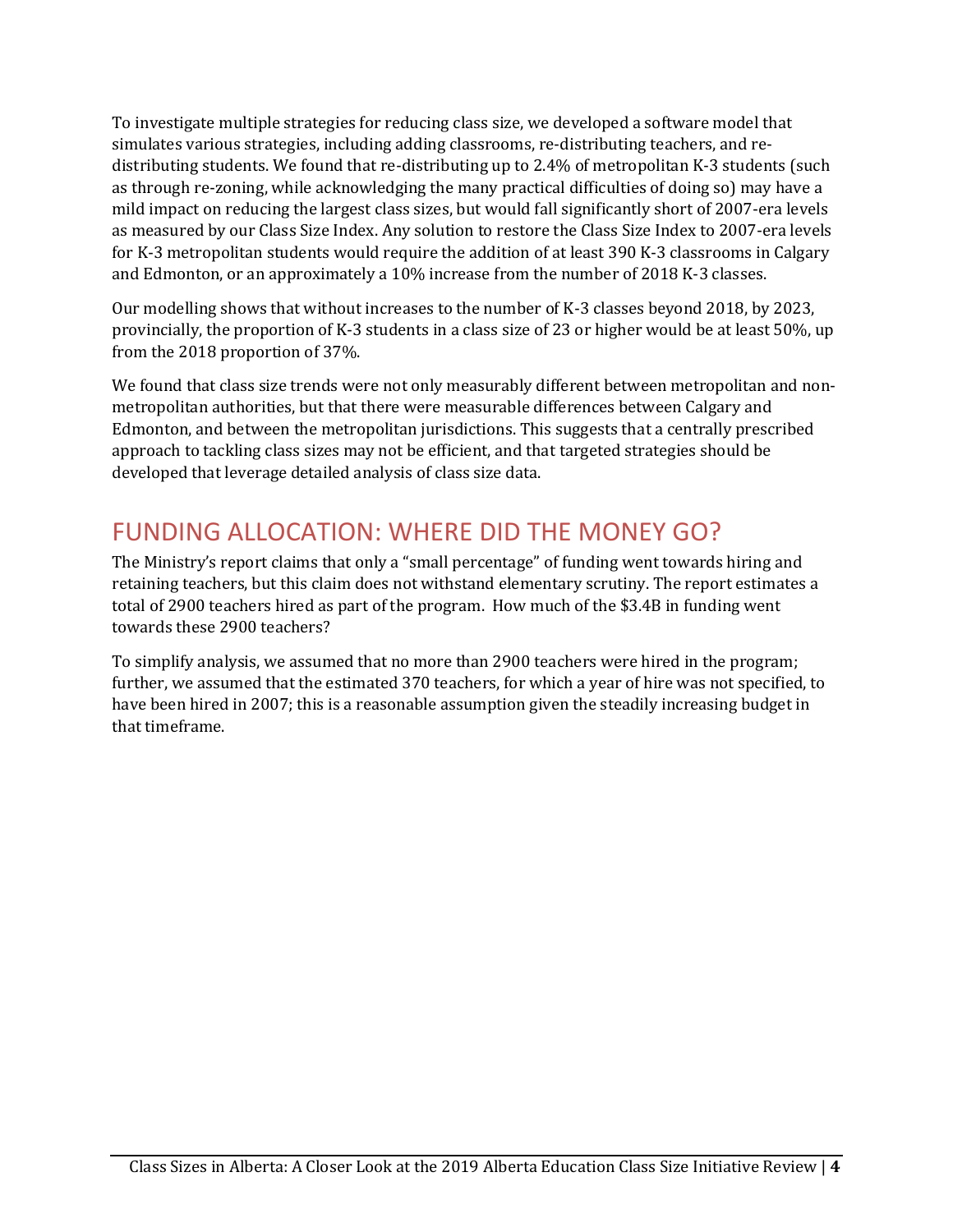To investigate multiple strategies for reducing class size, we developed a software model that simulates various strategies, including adding classrooms, re-distributing teachers, and redistributing students. We found that re-distributing up to 2.4% of metropolitan K-3 students (such as through re-zoning, while acknowledging the many practical difficulties of doing so) may have a mild impact on reducing the largest class sizes, but would fall significantly short of 2007-era levels as measured by our Class Size Index. Any solution to restore the Class Size Index to 2007-era levels for K-3 metropolitan students would require the addition of at least 390 K-3 classrooms in Calgary and Edmonton, or an approximately a 10% increase from the number of 2018 K-3 classes.

Our modelling shows that without increases to the number of K-3 classes beyond 2018, by 2023, provincially, the proportion of K-3 students in a class size of 23 or higher would be at least 50%, up from the 2018 proportion of 37%.

We found that class size trends were not only measurably different between metropolitan and nonmetropolitan authorities, but that there were measurable differences between Calgary and Edmonton, and between the metropolitan jurisdictions. This suggests that a centrally prescribed approach to tackling class sizes may not be efficient, and that targeted strategies should be developed that leverage detailed analysis of class size data.

# <span id="page-4-0"></span>FUNDING ALLOCATION: WHERE DID THE MONEY GO?

The Ministry's report claims that only a "small percentage" of funding went towards hiring and retaining teachers, but this claim does not withstand elementary scrutiny. The report estimates a total of 2900 teachers hired as part of the program. How much of the \$3.4B in funding went towards these 2900 teachers?

To simplify analysis, we assumed that no more than 2900 teachers were hired in the program; further, we assumed that the estimated 370 teachers, for which a year of hire was not specified, to have been hired in 2007; this is a reasonable assumption given the steadily increasing budget in that timeframe.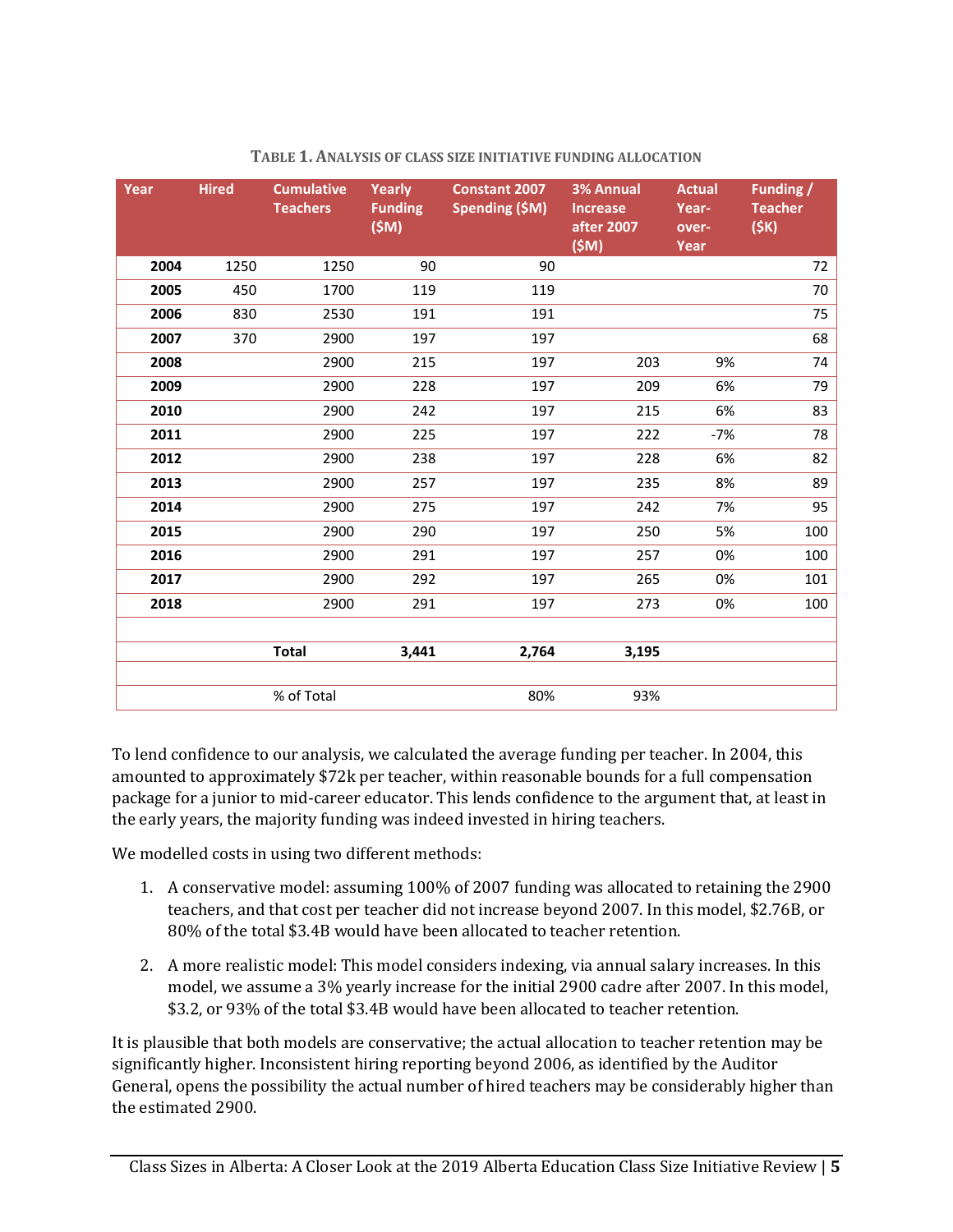| Year | <b>Hired</b> | <b>Cumulative</b><br><b>Teachers</b> | Yearly<br><b>Funding</b><br>(SM) | <b>Constant 2007</b><br><b>Spending (\$M)</b> | <b>3% Annual</b><br><b>Increase</b><br>after 2007<br>(SM) | <b>Actual</b><br>Year-<br>over-<br>Year | <b>Funding /</b><br><b>Teacher</b><br>(SK) |
|------|--------------|--------------------------------------|----------------------------------|-----------------------------------------------|-----------------------------------------------------------|-----------------------------------------|--------------------------------------------|
| 2004 | 1250         | 1250                                 | 90                               | 90                                            |                                                           |                                         | 72                                         |
| 2005 | 450          | 1700                                 | 119                              | 119                                           |                                                           |                                         | 70                                         |
| 2006 | 830          | 2530                                 | 191                              | 191                                           |                                                           |                                         | 75                                         |
| 2007 | 370          | 2900                                 | 197                              | 197                                           |                                                           |                                         | 68                                         |
| 2008 |              | 2900                                 | 215                              | 197                                           | 203                                                       | 9%                                      | 74                                         |
| 2009 |              | 2900                                 | 228                              | 197                                           | 209                                                       | 6%                                      | 79                                         |
| 2010 |              | 2900                                 | 242                              | 197                                           | 215                                                       | 6%                                      | 83                                         |
| 2011 |              | 2900                                 | 225                              | 197                                           | 222                                                       | -7%                                     | 78                                         |
| 2012 |              | 2900                                 | 238                              | 197                                           | 228                                                       | 6%                                      | 82                                         |
| 2013 |              | 2900                                 | 257                              | 197                                           | 235                                                       | 8%                                      | 89                                         |
| 2014 |              | 2900                                 | 275                              | 197                                           | 242                                                       | 7%                                      | 95                                         |
| 2015 |              | 2900                                 | 290                              | 197                                           | 250                                                       | 5%                                      | 100                                        |
| 2016 |              | 2900                                 | 291                              | 197                                           | 257                                                       | 0%                                      | 100                                        |
| 2017 |              | 2900                                 | 292                              | 197                                           | 265                                                       | 0%                                      | 101                                        |
| 2018 |              | 2900                                 | 291                              | 197                                           | 273                                                       | 0%                                      | 100                                        |
|      |              |                                      |                                  |                                               |                                                           |                                         |                                            |
|      |              | <b>Total</b>                         | 3,441                            | 2,764                                         | 3,195                                                     |                                         |                                            |
|      |              |                                      |                                  |                                               |                                                           |                                         |                                            |
|      |              | % of Total                           |                                  | 80%                                           | 93%                                                       |                                         |                                            |

#### **TABLE 1. ANALYSIS OF CLASS SIZE INITIATIVE FUNDING ALLOCATION**

To lend confidence to our analysis, we calculated the average funding per teacher. In 2004, this amounted to approximately \$72k per teacher, within reasonable bounds for a full compensation package for a junior to mid-career educator. This lends confidence to the argument that, at least in the early years, the majority funding was indeed invested in hiring teachers.

We modelled costs in using two different methods:

- 1. A conservative model: assuming 100% of 2007 funding was allocated to retaining the 2900 teachers, and that cost per teacher did not increase beyond 2007. In this model, \$2.76B, or 80% of the total \$3.4B would have been allocated to teacher retention.
- 2. A more realistic model: This model considers indexing, via annual salary increases. In this model, we assume a 3% yearly increase for the initial 2900 cadre after 2007. In this model, \$3.2, or 93% of the total \$3.4B would have been allocated to teacher retention.

It is plausible that both models are conservative; the actual allocation to teacher retention may be significantly higher. Inconsistent hiring reporting beyond 2006, as identified by the Auditor General, opens the possibility the actual number of hired teachers may be considerably higher than the estimated 2900.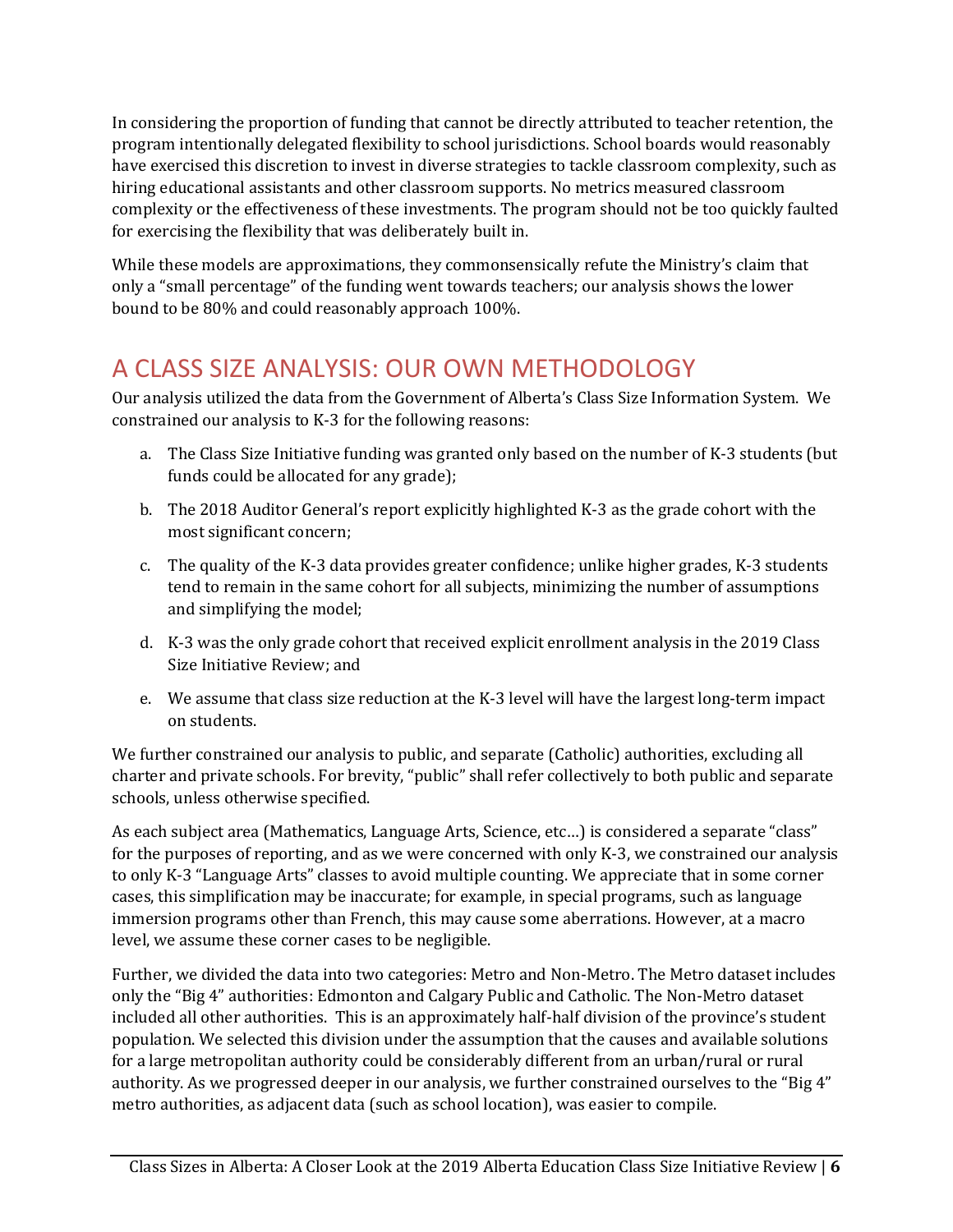In considering the proportion of funding that cannot be directly attributed to teacher retention, the program intentionally delegated flexibility to school jurisdictions. School boards would reasonably have exercised this discretion to invest in diverse strategies to tackle classroom complexity, such as hiring educational assistants and other classroom supports. No metrics measured classroom complexity or the effectiveness of these investments. The program should not be too quickly faulted for exercising the flexibility that was deliberately built in.

While these models are approximations, they commonsensically refute the Ministry's claim that only a "small percentage" of the funding went towards teachers; our analysis shows the lower bound to be 80% and could reasonably approach 100%.

# <span id="page-6-0"></span>A CLASS SIZE ANALYSIS: OUR OWN METHODOLOGY

Our analysis utilized the data from the Government of Alberta's Class Size Information System. We constrained our analysis to K-3 for the following reasons:

- a. The Class Size Initiative funding was granted only based on the number of K-3 students (but funds could be allocated for any grade);
- b. The 2018 Auditor General's report explicitly highlighted K-3 as the grade cohort with the most significant concern;
- c. The quality of the K-3 data provides greater confidence; unlike higher grades, K-3 students tend to remain in the same cohort for all subjects, minimizing the number of assumptions and simplifying the model;
- d. K-3 was the only grade cohort that received explicit enrollment analysis in the 2019 Class Size Initiative Review; and
- e. We assume that class size reduction at the K-3 level will have the largest long-term impact on students.

We further constrained our analysis to public, and separate (Catholic) authorities, excluding all charter and private schools. For brevity, "public" shall refer collectively to both public and separate schools, unless otherwise specified.

As each subject area (Mathematics, Language Arts, Science, etc…) is considered a separate "class" for the purposes of reporting, and as we were concerned with only K-3, we constrained our analysis to only K-3 "Language Arts" classes to avoid multiple counting. We appreciate that in some corner cases, this simplification may be inaccurate; for example, in special programs, such as language immersion programs other than French, this may cause some aberrations. However, at a macro level, we assume these corner cases to be negligible.

Further, we divided the data into two categories: Metro and Non-Metro. The Metro dataset includes only the "Big 4" authorities: Edmonton and Calgary Public and Catholic. The Non-Metro dataset included all other authorities. This is an approximately half-half division of the province's student population. We selected this division under the assumption that the causes and available solutions for a large metropolitan authority could be considerably different from an urban/rural or rural authority. As we progressed deeper in our analysis, we further constrained ourselves to the "Big 4" metro authorities, as adjacent data (such as school location), was easier to compile.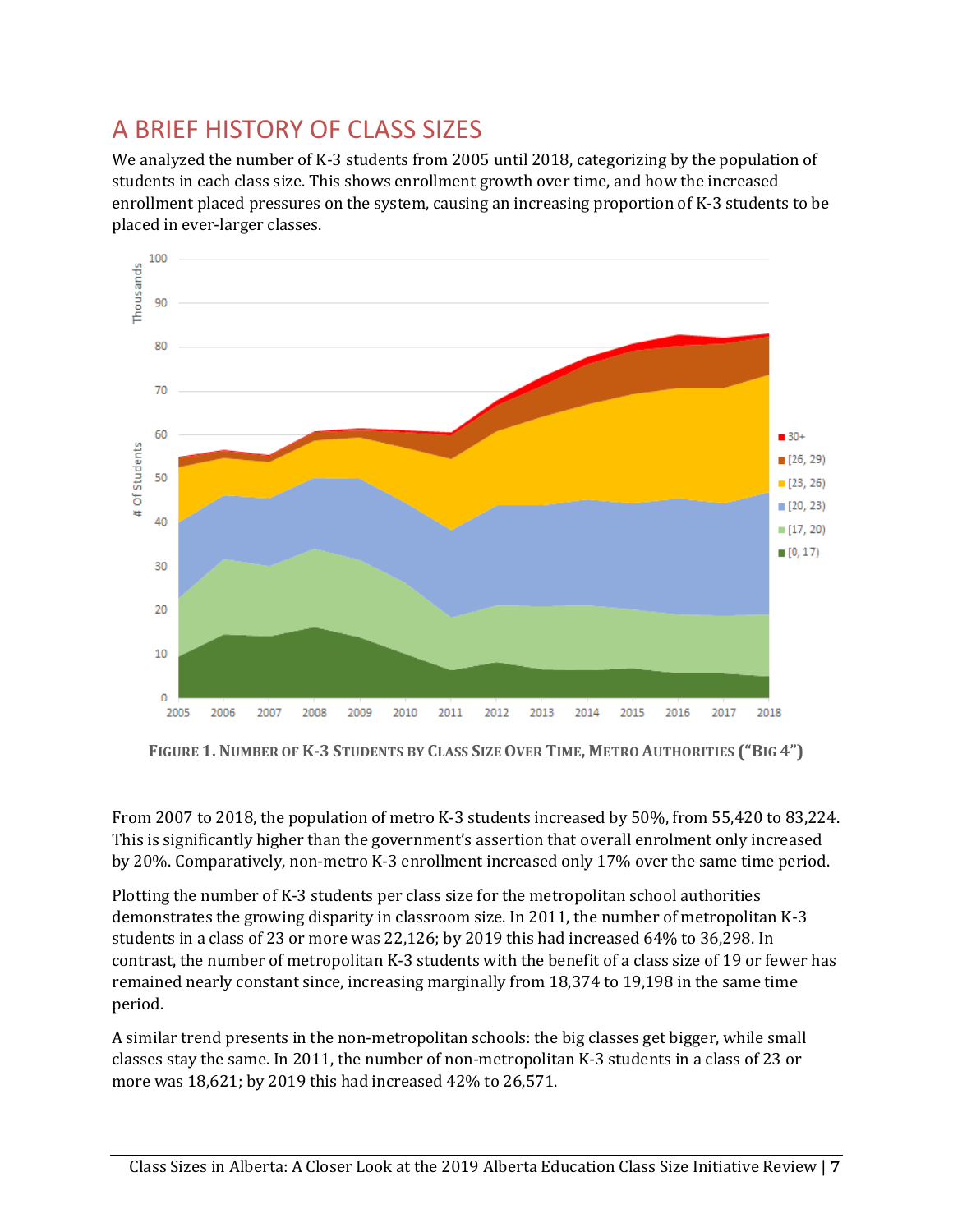# <span id="page-7-0"></span>A BRIEF HISTORY OF CLASS SIZES

We analyzed the number of K-3 students from 2005 until 2018, categorizing by the population of students in each class size. This shows enrollment growth over time, and how the increased enrollment placed pressures on the system, causing an increasing proportion of K-3 students to be placed in ever-larger classes.



FIGURE 1. NUMBER OF K-3 STUDENTS BY CLASS SIZE OVER TIME, METRO AUTHORITIES ("BIG 4")

From 2007 to 2018, the population of metro K-3 students increased by 50%, from 55,420 to 83,224. This is significantly higher than the government's assertion that overall enrolment only increased by 20%. Comparatively, non-metro K-3 enrollment increased only 17% over the same time period.

Plotting the number of K-3 students per class size for the metropolitan school authorities demonstrates the growing disparity in classroom size. In 2011, the number of metropolitan K-3 students in a class of 23 or more was 22,126; by 2019 this had increased 64% to 36,298. In contrast, the number of metropolitan K-3 students with the benefit of a class size of 19 or fewer has remained nearly constant since, increasing marginally from 18,374 to 19,198 in the same time period.

A similar trend presents in the non-metropolitan schools: the big classes get bigger, while small classes stay the same. In 2011, the number of non-metropolitan K-3 students in a class of 23 or more was 18,621; by 2019 this had increased 42% to 26,571.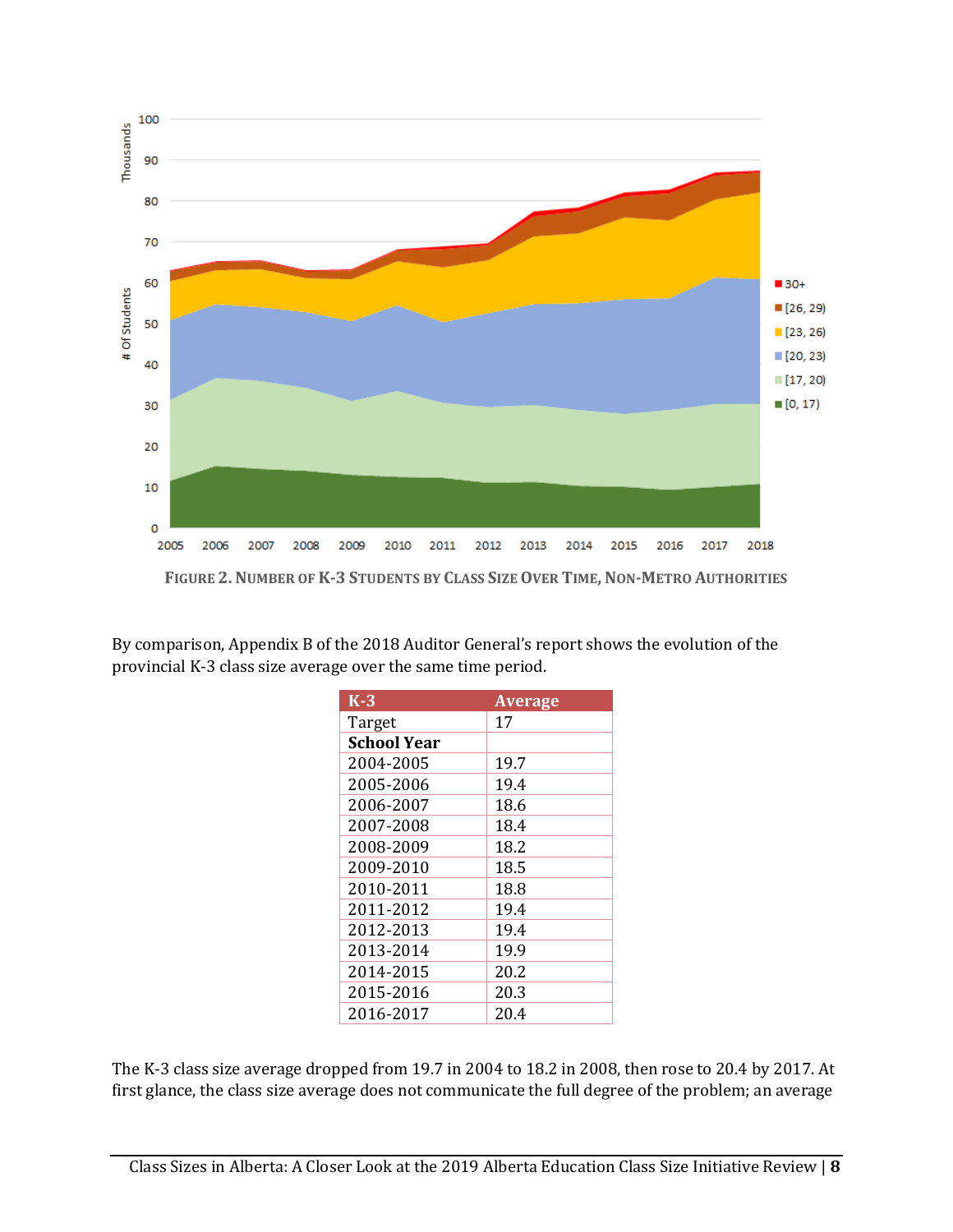

By comparison, Appendix B of the 2018 Auditor General's report shows the evolution of the provincial K-3 class size average over the same time period.

| $K-3$              | <b>Average</b> |
|--------------------|----------------|
| Target             | 17             |
| <b>School Year</b> |                |
| 2004-2005          | 19.7           |
| 2005-2006          | 19.4           |
| 2006-2007          | 18.6           |
| 2007-2008          | 18.4           |
| 2008-2009          | 18.2           |
| 2009-2010          | 18.5           |
| 2010-2011          | 18.8           |
| 2011-2012          | 19.4           |
| 2012-2013          | 19.4           |
| 2013-2014          | 19.9           |
| 2014-2015          | 20.2           |
| 2015-2016          | 20.3           |
| 2016-2017          | 20.4           |

The K-3 class size average dropped from 19.7 in 2004 to 18.2 in 2008, then rose to 20.4 by 2017. At first glance, the class size average does not communicate the full degree of the problem; an average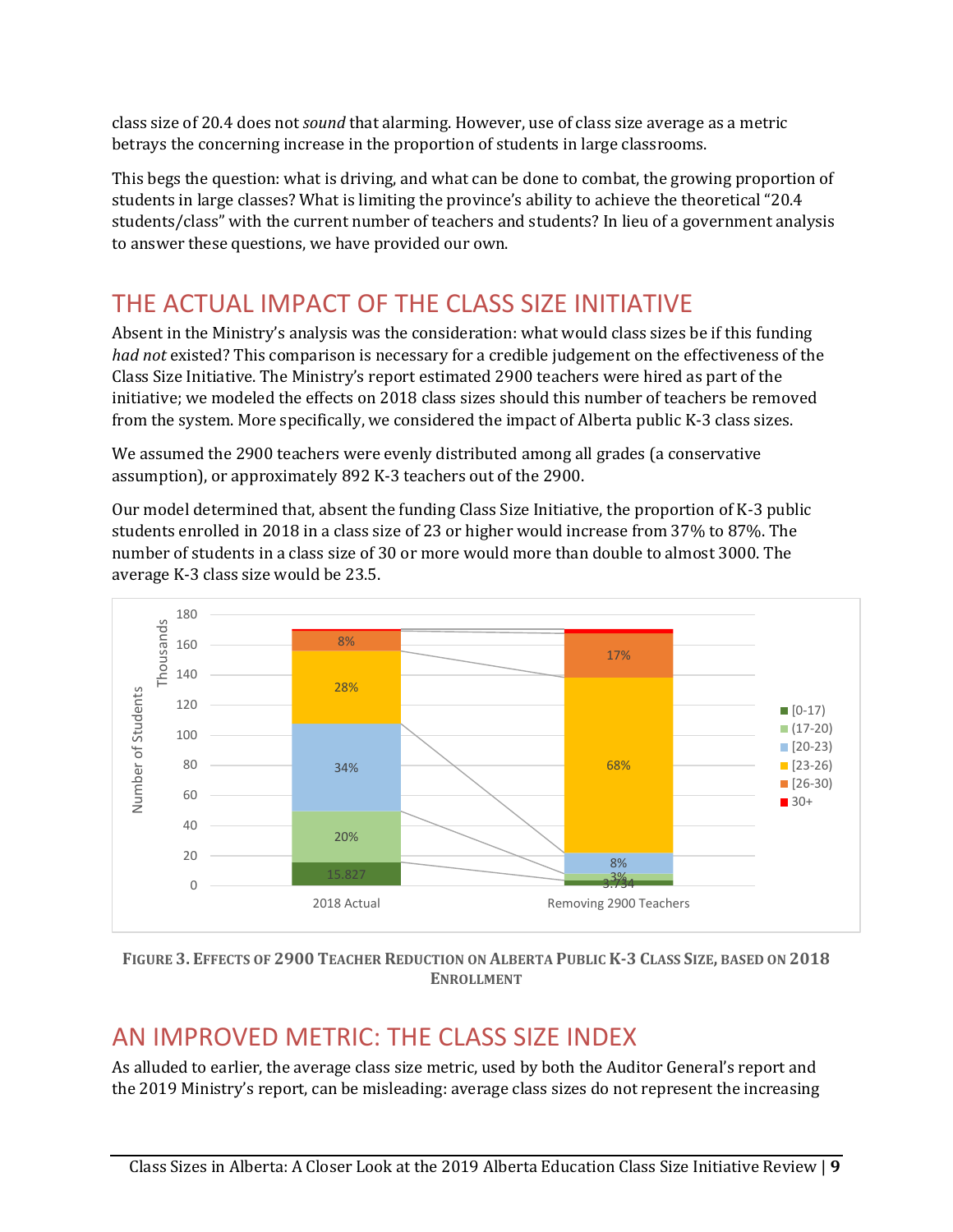class size of 20.4 does not *sound* that alarming. However, use of class size average as a metric betrays the concerning increase in the proportion of students in large classrooms.

This begs the question: what is driving, and what can be done to combat, the growing proportion of students in large classes? What is limiting the province's ability to achieve the theoretical "20.4 students/class" with the current number of teachers and students? In lieu of a government analysis to answer these questions, we have provided our own.

# <span id="page-9-0"></span>THE ACTUAL IMPACT OF THE CLASS SIZE INITIATIVE

Absent in the Ministry's analysis was the consideration: what would class sizes be if this funding *had not* existed? This comparison is necessary for a credible judgement on the effectiveness of the Class Size Initiative. The Ministry's report estimated 2900 teachers were hired as part of the initiative; we modeled the effects on 2018 class sizes should this number of teachers be removed from the system. More specifically, we considered the impact of Alberta public K-3 class sizes.

We assumed the 2900 teachers were evenly distributed among all grades (a conservative assumption), or approximately 892 K-3 teachers out of the 2900.

Our model determined that, absent the funding Class Size Initiative, the proportion of K-3 public students enrolled in 2018 in a class size of 23 or higher would increase from 37% to 87%. The number of students in a class size of 30 or more would more than double to almost 3000. The average K-3 class size would be 23.5.



FIGURE 3. EFFECTS OF 2900 TEACHER REDUCTION ON ALBERTA PUBLIC K-3 CLASS SIZE, BASED ON 2018 **ENROLLMENT**

# <span id="page-9-1"></span>AN IMPROVED METRIC: THE CLASS SIZE INDEX

As alluded to earlier, the average class size metric, used by both the Auditor General's report and the 2019 Ministry's report, can be misleading: average class sizes do not represent the increasing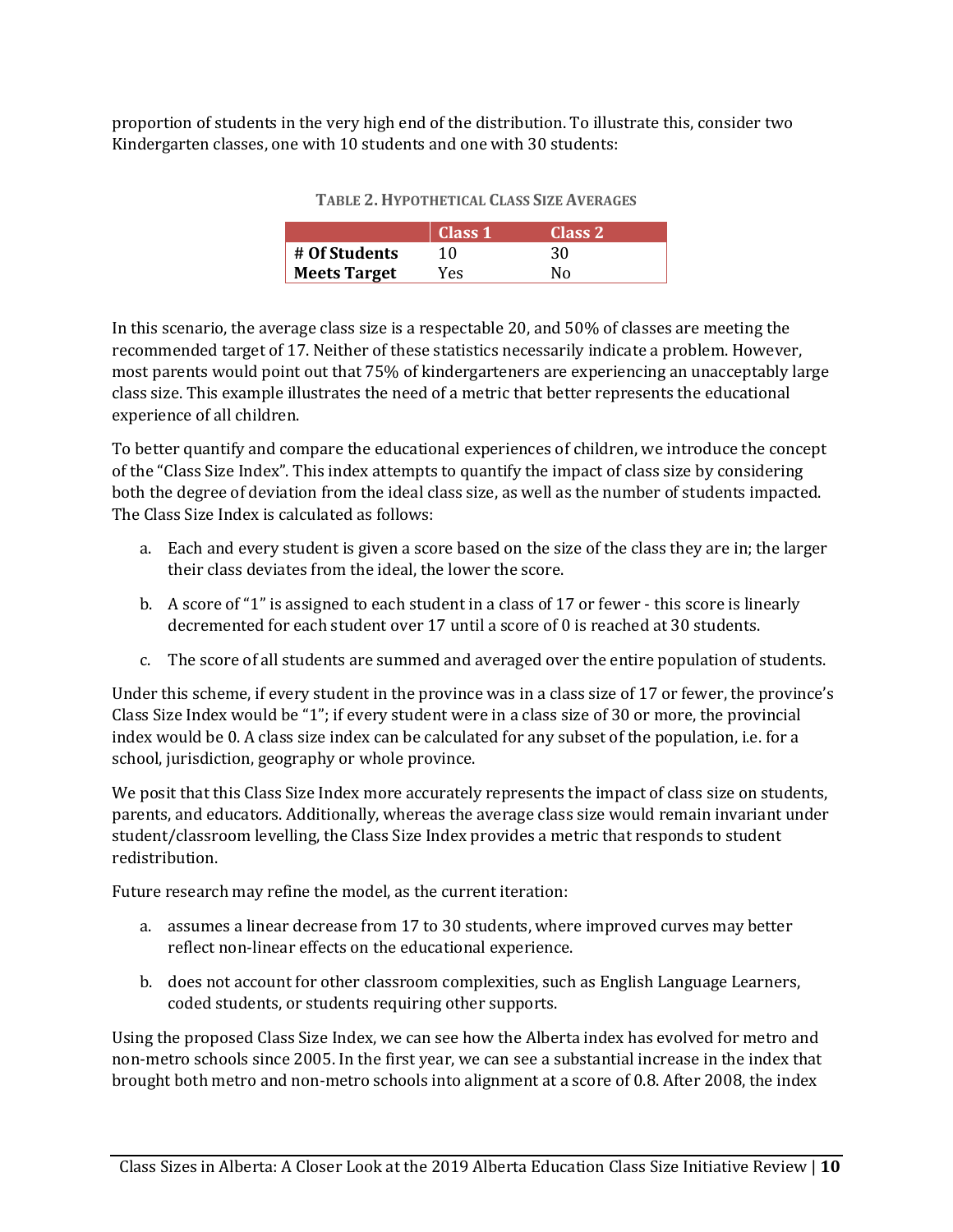proportion of students in the very high end of the distribution. To illustrate this, consider two Kindergarten classes, one with 10 students and one with 30 students:

|                     | Class 1 | Class 2 |  |
|---------------------|---------|---------|--|
| $\#$ Of Students    | 10      | 30      |  |
| <b>Meets Target</b> | Yes.    | N٥      |  |

| <b>TABLE 2. HYPOTHETICAL CLASS SIZE AVERAGES</b> |  |
|--------------------------------------------------|--|
|                                                  |  |

In this scenario, the average class size is a respectable 20, and 50% of classes are meeting the recommended target of 17. Neither of these statistics necessarily indicate a problem. However, most parents would point out that 75% of kindergarteners are experiencing an unacceptably large class size. This example illustrates the need of a metric that better represents the educational experience of all children.

To better quantify and compare the educational experiences of children, we introduce the concept of the "Class Size Index". This index attempts to quantify the impact of class size by considering both the degree of deviation from the ideal class size, as well as the number of students impacted. The Class Size Index is calculated as follows:

- a. Each and every student is given a score based on the size of the class they are in; the larger their class deviates from the ideal, the lower the score.
- b. A score of "1" is assigned to each student in a class of 17 or fewer this score is linearly decremented for each student over 17 until a score of 0 is reached at 30 students.
- c. The score of all students are summed and averaged over the entire population of students.

Under this scheme, if every student in the province was in a class size of 17 or fewer, the province's Class Size Index would be "1"; if every student were in a class size of 30 or more, the provincial index would be 0. A class size index can be calculated for any subset of the population, i.e. for a school, jurisdiction, geography or whole province.

We posit that this Class Size Index more accurately represents the impact of class size on students, parents, and educators. Additionally, whereas the average class size would remain invariant under student/classroom levelling, the Class Size Index provides a metric that responds to student redistribution.

Future research may refine the model, as the current iteration:

- a. assumes a linear decrease from 17 to 30 students, where improved curves may better reflect non-linear effects on the educational experience.
- b. does not account for other classroom complexities, such as English Language Learners, coded students, or students requiring other supports.

Using the proposed Class Size Index, we can see how the Alberta index has evolved for metro and non-metro schools since 2005. In the first year, we can see a substantial increase in the index that brought both metro and non-metro schools into alignment at a score of 0.8. After 2008, the index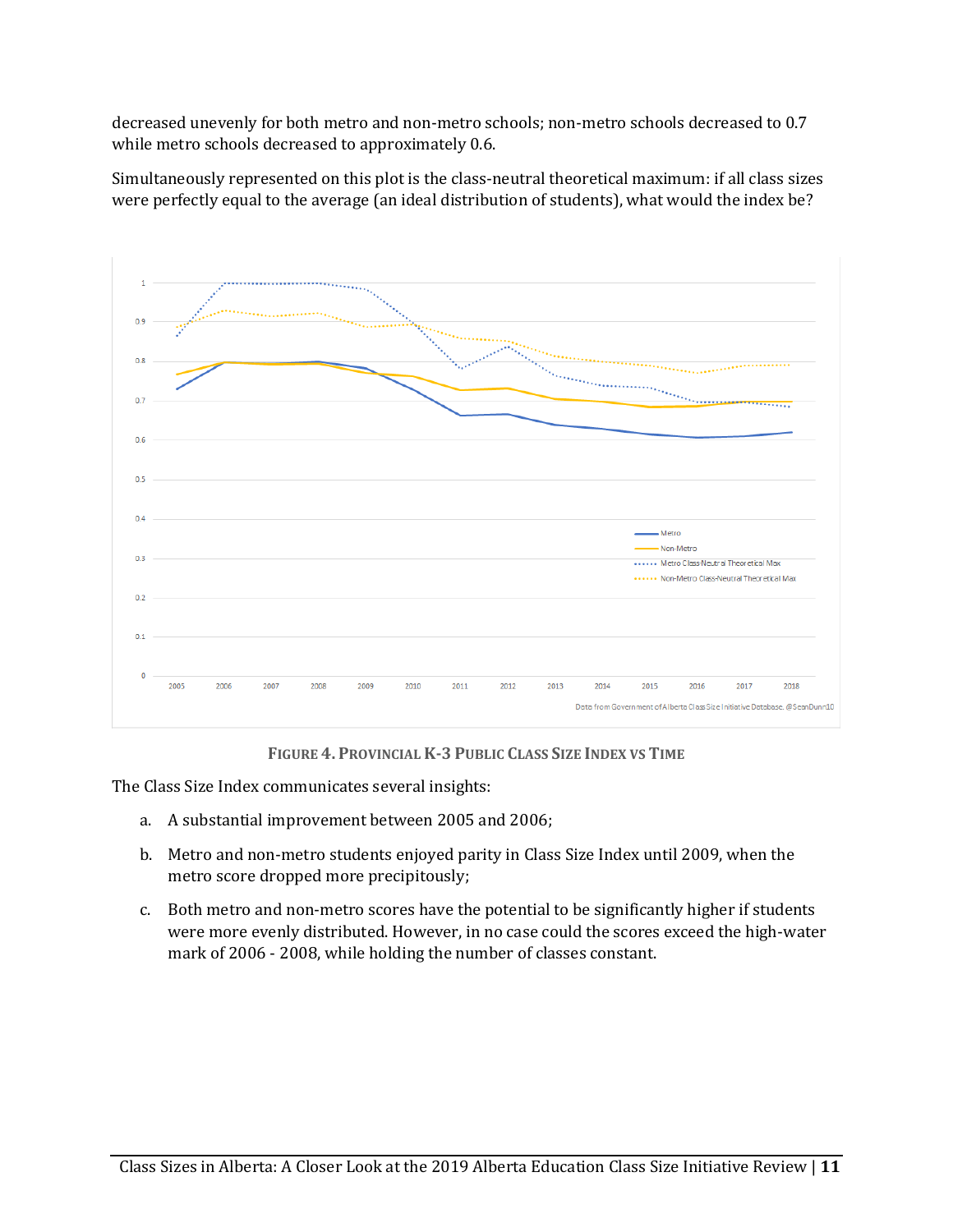decreased unevenly for both metro and non-metro schools; non-metro schools decreased to 0.7 while metro schools decreased to approximately 0.6.

Simultaneously represented on this plot is the class-neutral theoretical maximum: if all class sizes were perfectly equal to the average (an ideal distribution of students), what would the index be?



**FIGURE 4. PROVINCIAL K-3 PUBLIC CLASS SIZE INDEX VS TIME**

The Class Size Index communicates several insights:

- a. A substantial improvement between 2005 and 2006;
- b. Metro and non-metro students enjoyed parity in Class Size Index until 2009, when the metro score dropped more precipitously;
- c. Both metro and non-metro scores have the potential to be significantly higher if students were more evenly distributed. However, in no case could the scores exceed the high-water mark of 2006 - 2008, while holding the number of classes constant.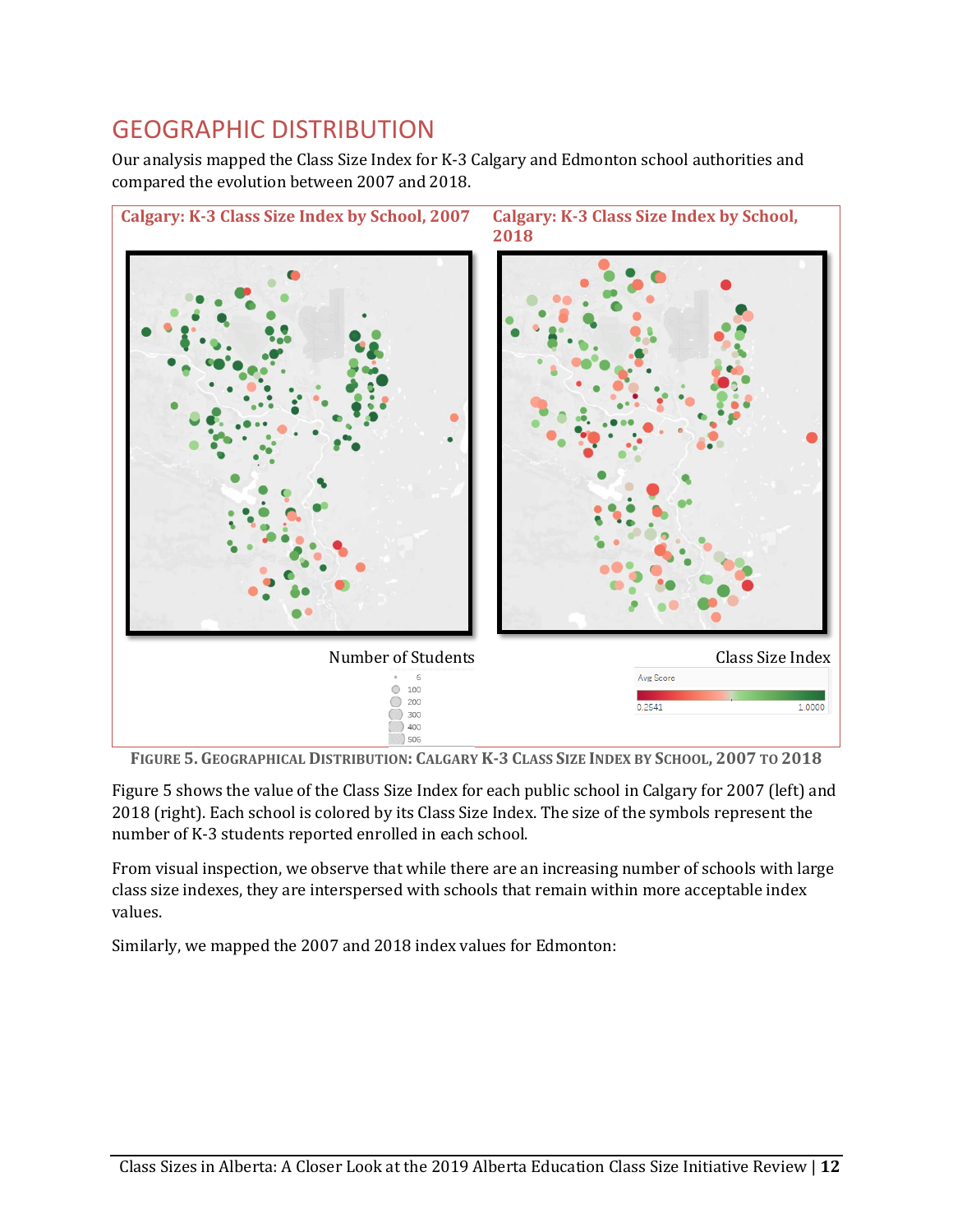## <span id="page-12-0"></span>GEOGRAPHIC DISTRIBUTION

Our analysis mapped the Class Size Index for K-3 Calgary and Edmonton school authorities and compared the evolution between 2007 and 2018.



<span id="page-12-1"></span>FIGURE 5. GEOGRAPHICAL DISTRIBUTION: CALGARY K-3 CLASS SIZE INDEX BY SCHOOL, 2007 TO 2018

[Figure 5](#page-12-1) shows the value of the Class Size Index for each public school in Calgary for 2007 (left) and 2018 (right). Each school is colored by its Class Size Index. The size of the symbols represent the number of K-3 students reported enrolled in each school.

From visual inspection, we observe that while there are an increasing number of schools with large class size indexes, they are interspersed with schools that remain within more acceptable index values.

Similarly, we mapped the 2007 and 2018 index values for Edmonton: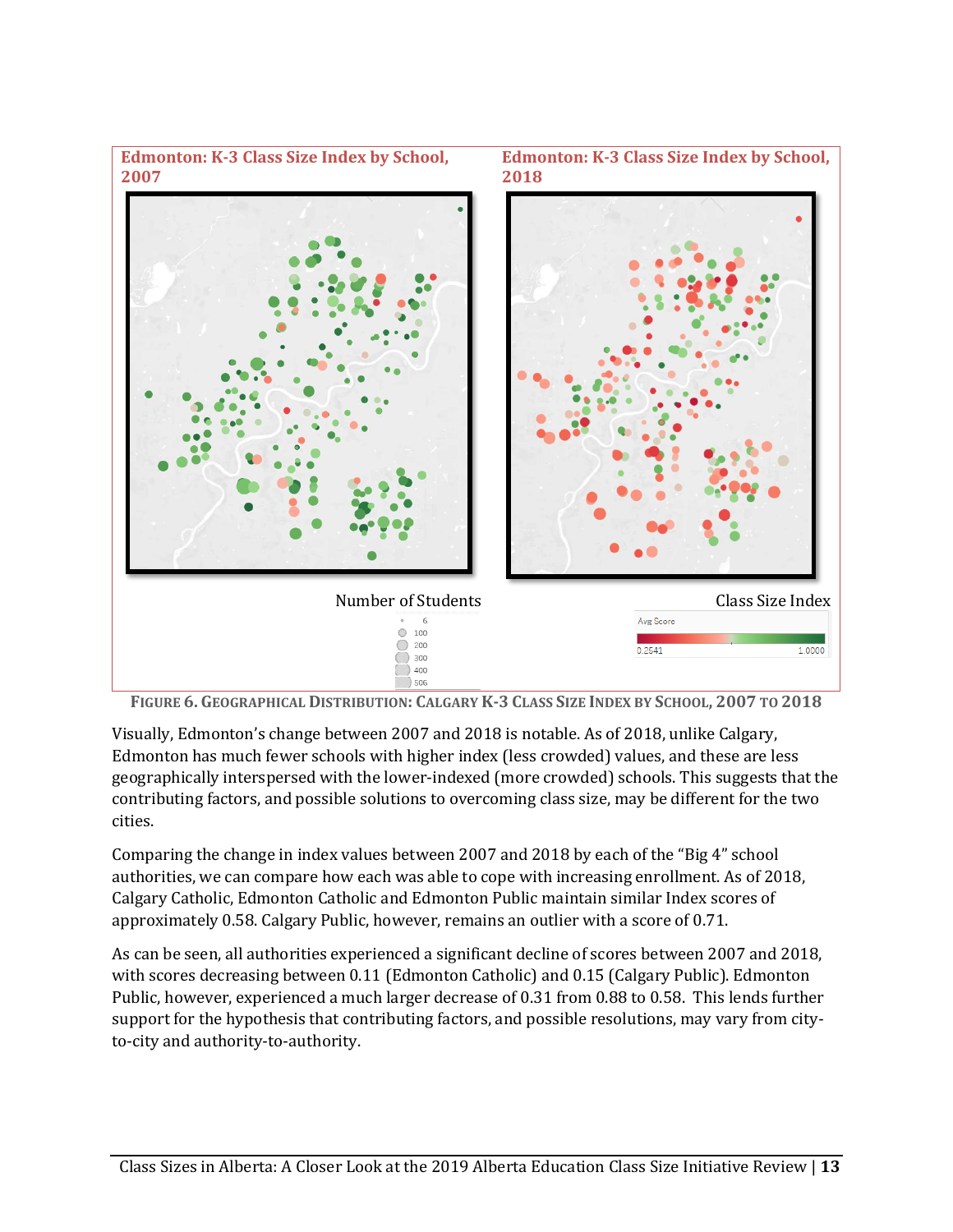

FIGURE 6. GEOGRAPHICAL DISTRIBUTION: CALGARY K-3 CLASS SIZE INDEX BY SCHOOL, 2007 TO 2018

Visually, Edmonton's change between 2007 and 2018 is notable. As of 2018, unlike Calgary, Edmonton has much fewer schools with higher index (less crowded) values, and these are less geographically interspersed with the lower-indexed (more crowded) schools. This suggests that the contributing factors, and possible solutions to overcoming class size, may be different for the two cities.

Comparing the change in index values between 2007 and 2018 by each of the "Big 4" school authorities, we can compare how each was able to cope with increasing enrollment. As of 2018, Calgary Catholic, Edmonton Catholic and Edmonton Public maintain similar Index scores of approximately 0.58. Calgary Public, however, remains an outlier with a score of 0.71.

As can be seen, all authorities experienced a significant decline of scores between 2007 and 2018, with scores decreasing between 0.11 (Edmonton Catholic) and 0.15 (Calgary Public). Edmonton Public, however, experienced a much larger decrease of 0.31 from 0.88 to 0.58. This lends further support for the hypothesis that contributing factors, and possible resolutions, may vary from cityto-city and authority-to-authority.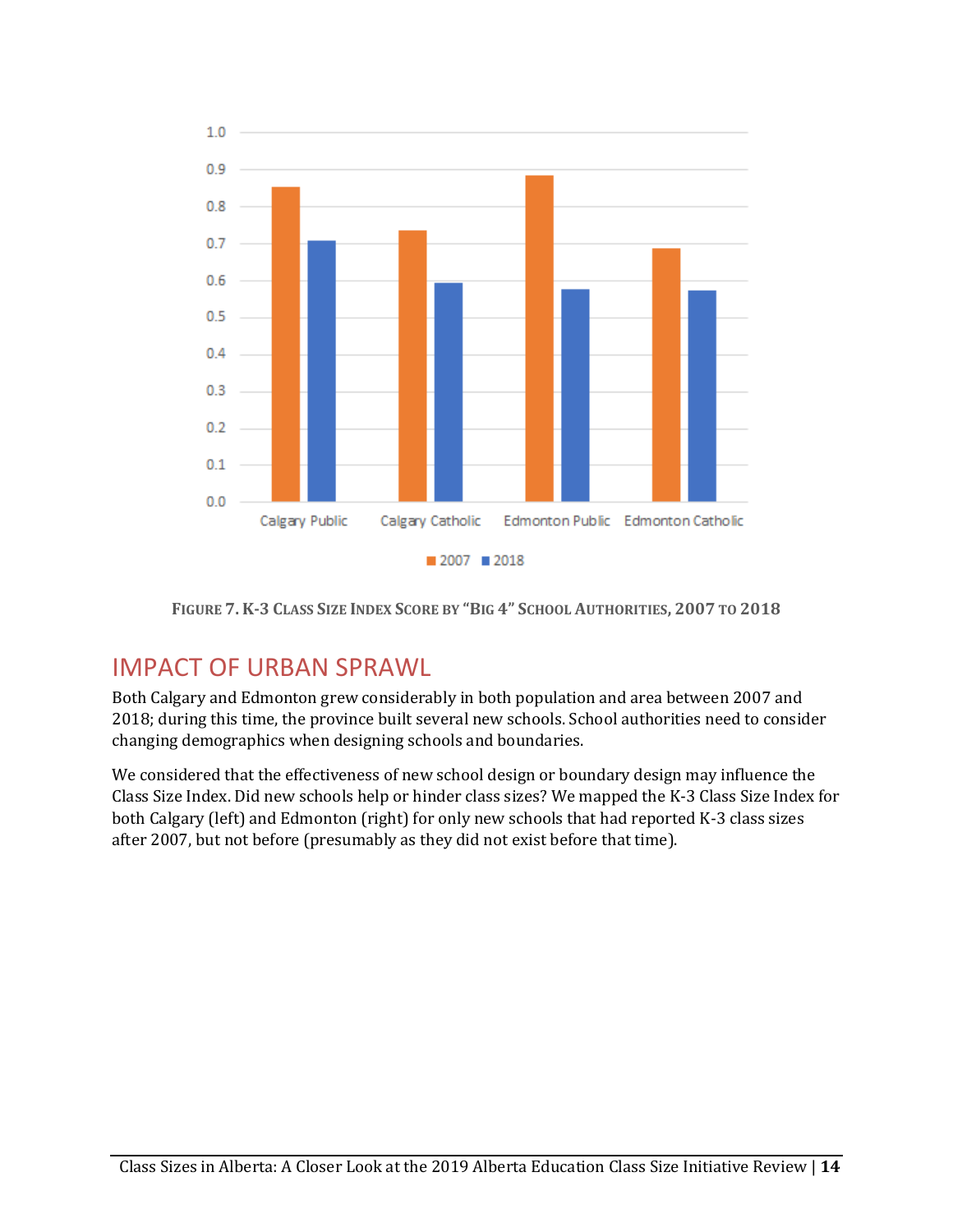

FIGURE 7. K-3 CLASS SIZE INDEX SCORE BY "BIG 4" SCHOOL AUTHORITIES, 2007 TO 2018

## <span id="page-14-0"></span>IMPACT OF URBAN SPRAWL

Both Calgary and Edmonton grew considerably in both population and area between 2007 and 2018; during this time, the province built several new schools. School authorities need to consider changing demographics when designing schools and boundaries.

We considered that the effectiveness of new school design or boundary design may influence the Class Size Index. Did new schools help or hinder class sizes? We mapped the K-3 Class Size Index for both Calgary (left) and Edmonton (right) for only new schools that had reported K-3 class sizes after 2007, but not before (presumably as they did not exist before that time).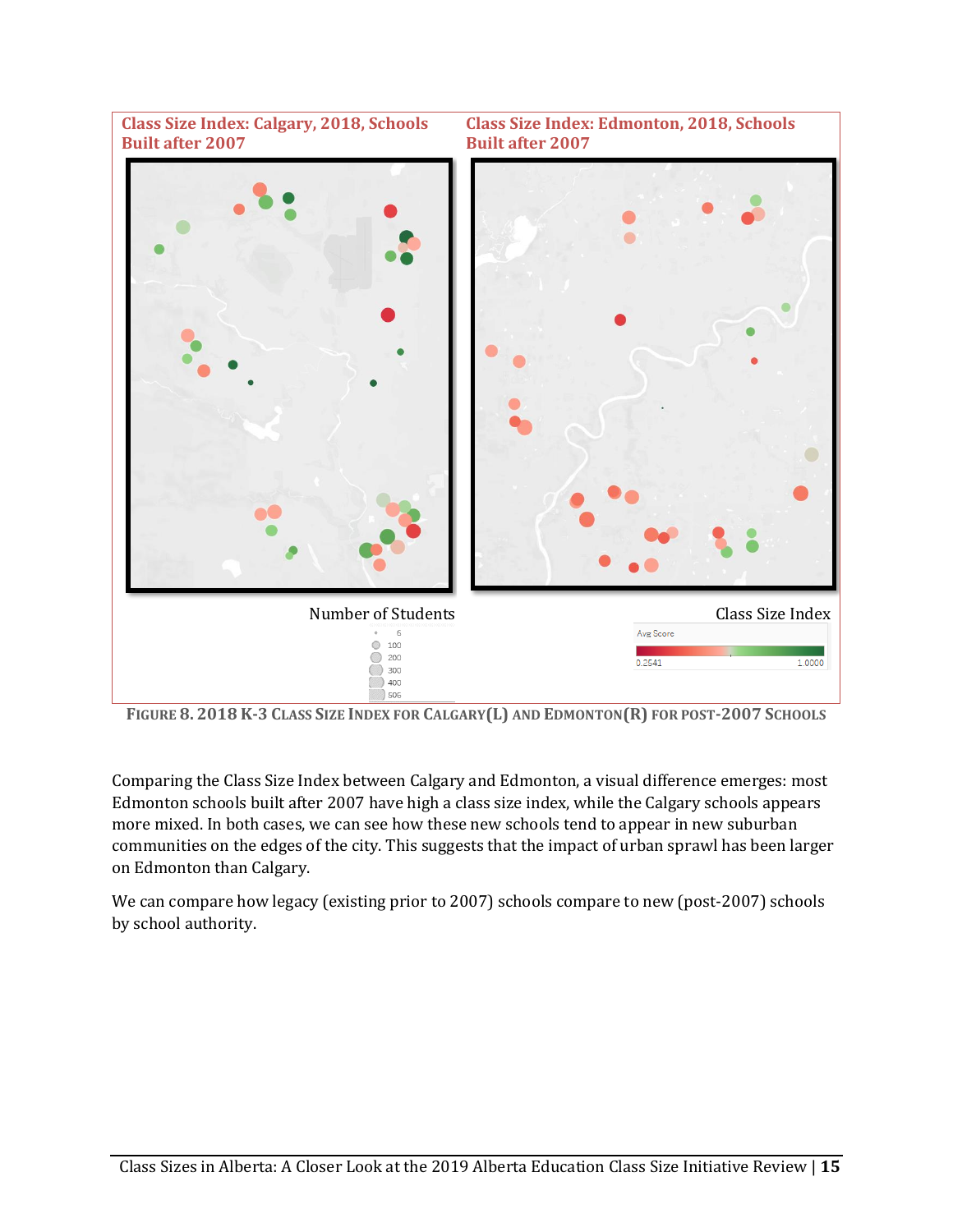

FIGURE 8. 2018 K-3 CLASS SIZE INDEX FOR CALGARY(L) AND EDMONTON(R) FOR POST-2007 SCHOOLS

Comparing the Class Size Index between Calgary and Edmonton, a visual difference emerges: most Edmonton schools built after 2007 have high a class size index, while the Calgary schools appears more mixed. In both cases, we can see how these new schools tend to appear in new suburban communities on the edges of the city. This suggests that the impact of urban sprawl has been larger on Edmonton than Calgary.

We can compare how legacy (existing prior to 2007) schools compare to new (post-2007) schools by school authority.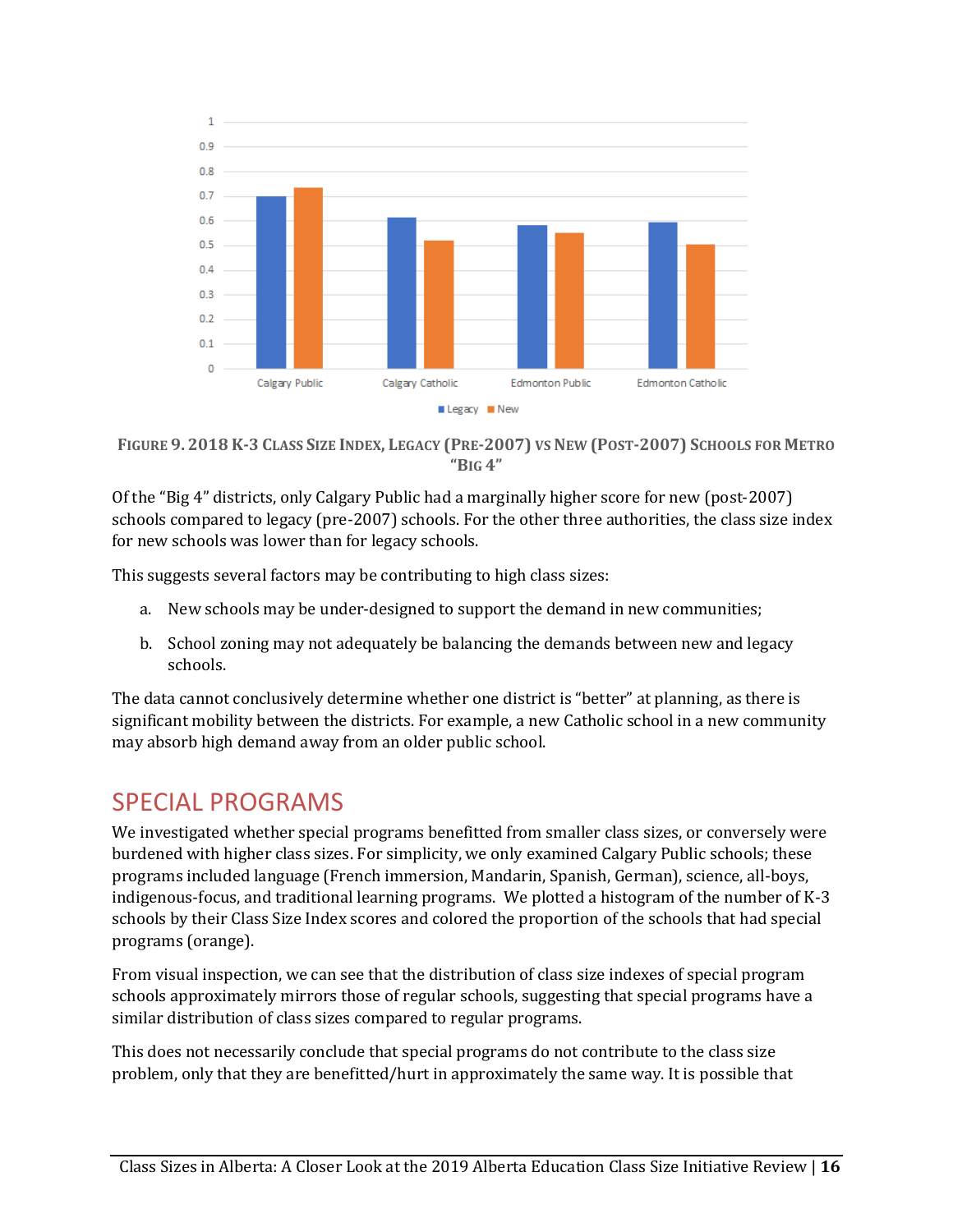

FIGURE 9. 2018 K-3 CLASS SIZE INDEX, LEGACY (PRE-2007) VS NEW (POST-2007) SCHOOLS FOR METRO **"BIG 4"**

Of the "Big 4" districts, only Calgary Public had a marginally higher score for new (post-2007) schools compared to legacy (pre-2007) schools. For the other three authorities, the class size index for new schools was lower than for legacy schools.

This suggests several factors may be contributing to high class sizes:

- a. New schools may be under-designed to support the demand in new communities;
- b. School zoning may not adequately be balancing the demands between new and legacy schools.

The data cannot conclusively determine whether one district is "better" at planning, as there is significant mobility between the districts. For example, a new Catholic school in a new community may absorb high demand away from an older public school.

## <span id="page-16-0"></span>SPECIAL PROGRAMS

We investigated whether special programs benefitted from smaller class sizes, or conversely were burdened with higher class sizes. For simplicity, we only examined Calgary Public schools; these programs included language (French immersion, Mandarin, Spanish, German), science, all-boys, indigenous-focus, and traditional learning programs. We plotted a histogram of the number of K-3 schools by their Class Size Index scores and colored the proportion of the schools that had special programs (orange).

From visual inspection, we can see that the distribution of class size indexes of special program schools approximately mirrors those of regular schools, suggesting that special programs have a similar distribution of class sizes compared to regular programs.

This does not necessarily conclude that special programs do not contribute to the class size problem, only that they are benefitted/hurt in approximately the same way. It is possible that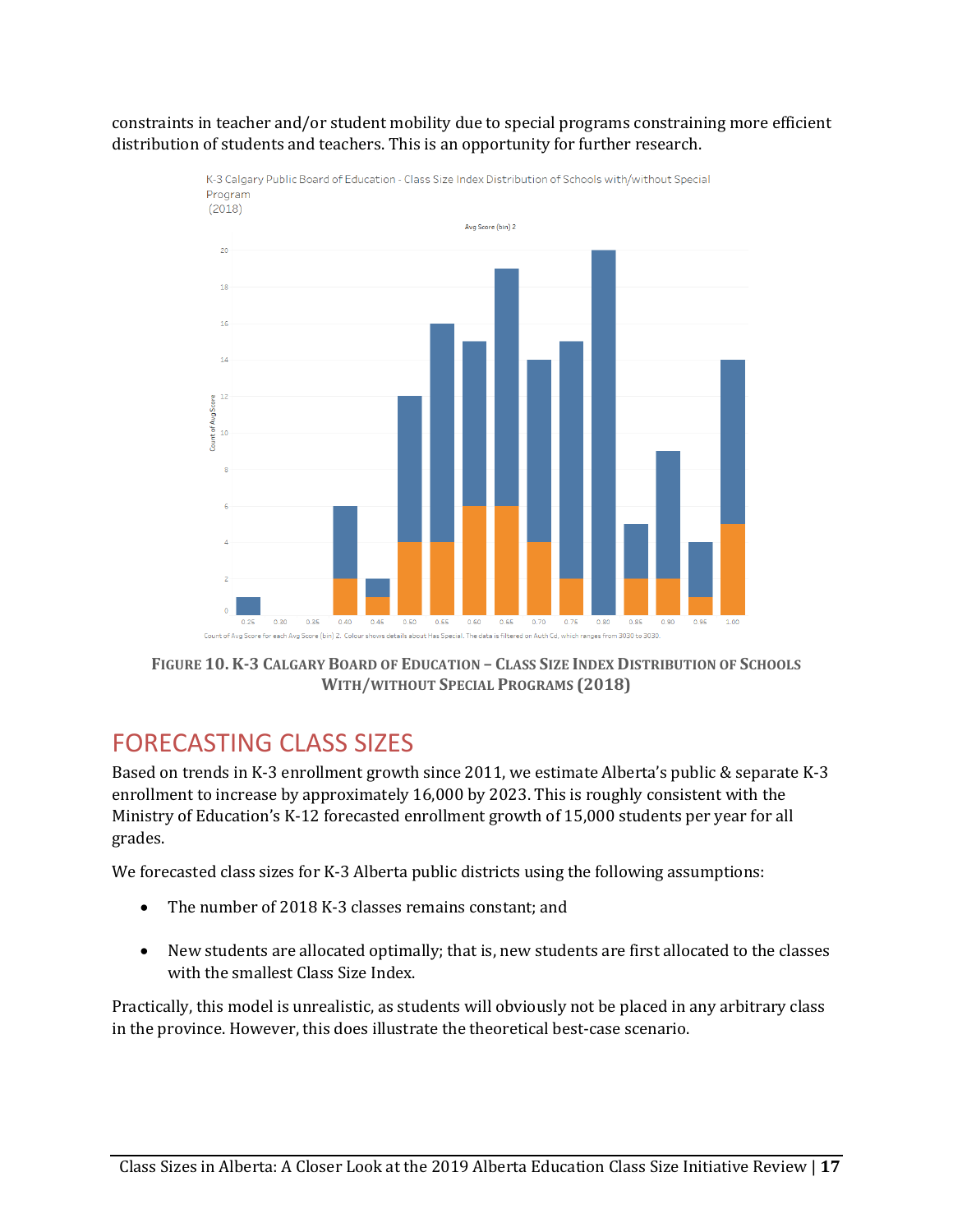constraints in teacher and/or student mobility due to special programs constraining more efficient distribution of students and teachers. This is an opportunity for further research.



K-3 Calgary Public Board of Education - Class Size Index Distribution of Schools with/without Special

**FIGURE 10.K-3 CALGARY BOARD OF EDUCATION – CLASS SIZE INDEX DISTRIBUTION OF SCHOOLS WITH/WITHOUT SPECIAL PROGRAMS (2018)**

# <span id="page-17-0"></span>FORECASTING CLASS SIZES

Based on trends in K-3 enrollment growth since 2011, we estimate Alberta's public & separate K-3 enrollment to increase by approximately 16,000 by 2023. This is roughly consistent with the Ministry of Education's K-12 forecasted enrollment growth of 15,000 students per year for all grades.

We forecasted class sizes for K-3 Alberta public districts using the following assumptions:

- The number of 2018 K-3 classes remains constant; and
- New students are allocated optimally; that is, new students are first allocated to the classes with the smallest Class Size Index.

Practically, this model is unrealistic, as students will obviously not be placed in any arbitrary class in the province. However, this does illustrate the theoretical best-case scenario.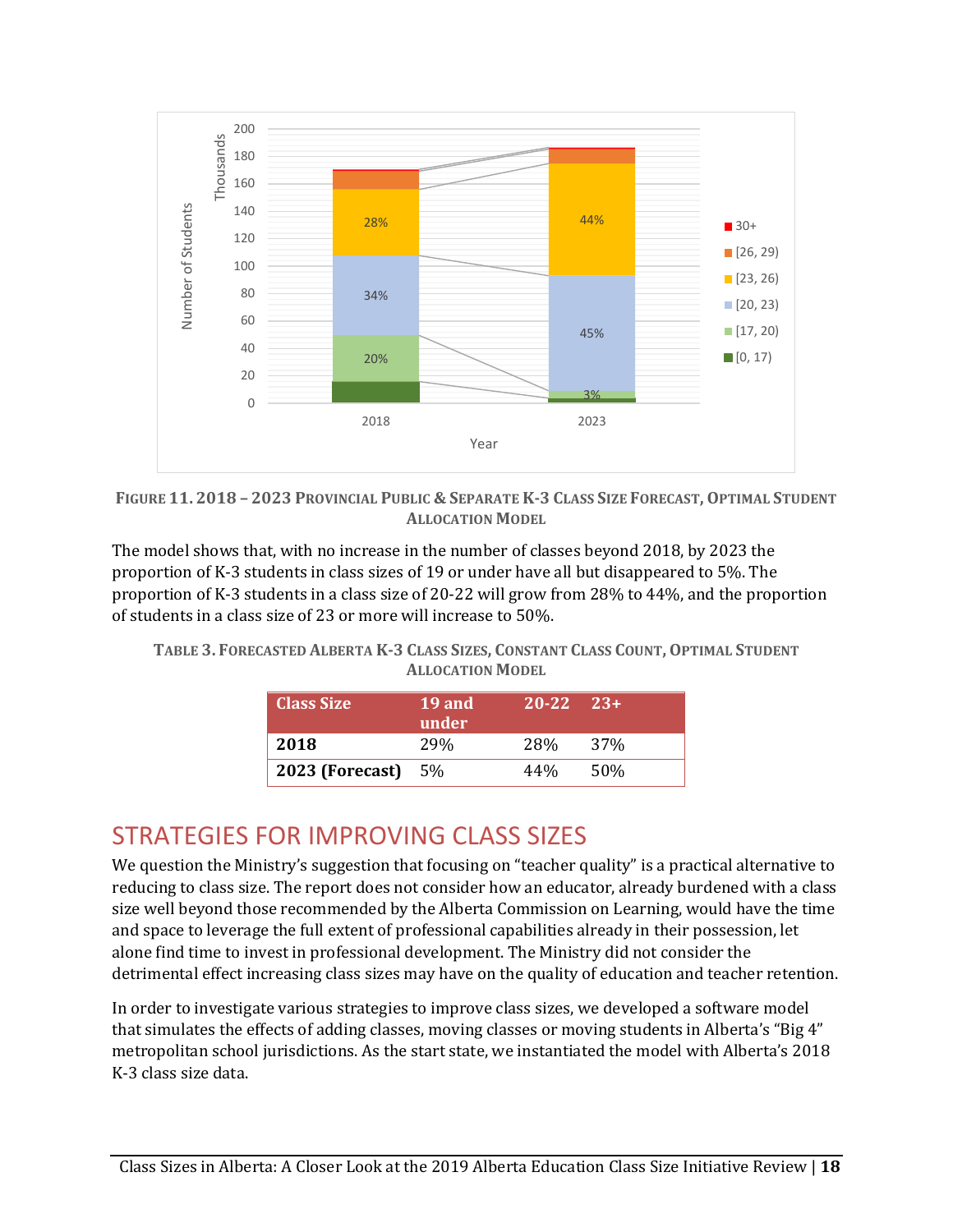

FIGURE 11. 2018 - 2023 PROVINCIAL PUBLIC & SEPARATE K-3 CLASS SIZE FORECAST, OPTIMAL STUDENT **ALLOCATION MODEL**

The model shows that, with no increase in the number of classes beyond 2018, by 2023 the proportion of K-3 students in class sizes of 19 or under have all but disappeared to 5%. The proportion of K-3 students in a class size of 20-22 will grow from 28% to 44%, and the proportion of students in a class size of 23 or more will increase to 50%.

TABLE 3. FORECASTED ALBERTA K-3 CLASS SIZES, CONSTANT CLASS COUNT, OPTIMAL STUDENT **ALLOCATION MODEL**

| <b>Class Size</b>         | 19 and<br>under | $20-22$ $23+$ |                 |
|---------------------------|-----------------|---------------|-----------------|
| 2018                      | 29 <sub>%</sub> | <b>28%</b>    | 37 <sub>%</sub> |
| <b>2023 (Forecast)</b> 5% |                 | 44%           | 50%             |

# <span id="page-18-0"></span>STRATEGIES FOR IMPROVING CLASS SIZES

We question the Ministry's suggestion that focusing on "teacher quality" is a practical alternative to reducing to class size. The report does not consider how an educator, already burdened with a class size well beyond those recommended by the Alberta Commission on Learning, would have the time and space to leverage the full extent of professional capabilities already in their possession, let alone find time to invest in professional development. The Ministry did not consider the detrimental effect increasing class sizes may have on the quality of education and teacher retention.

In order to investigate various strategies to improve class sizes, we developed a software model that simulates the effects of adding classes, moving classes or moving students in Alberta's "Big 4" metropolitan school jurisdictions. As the start state, we instantiated the model with Alberta's 2018 K-3 class size data.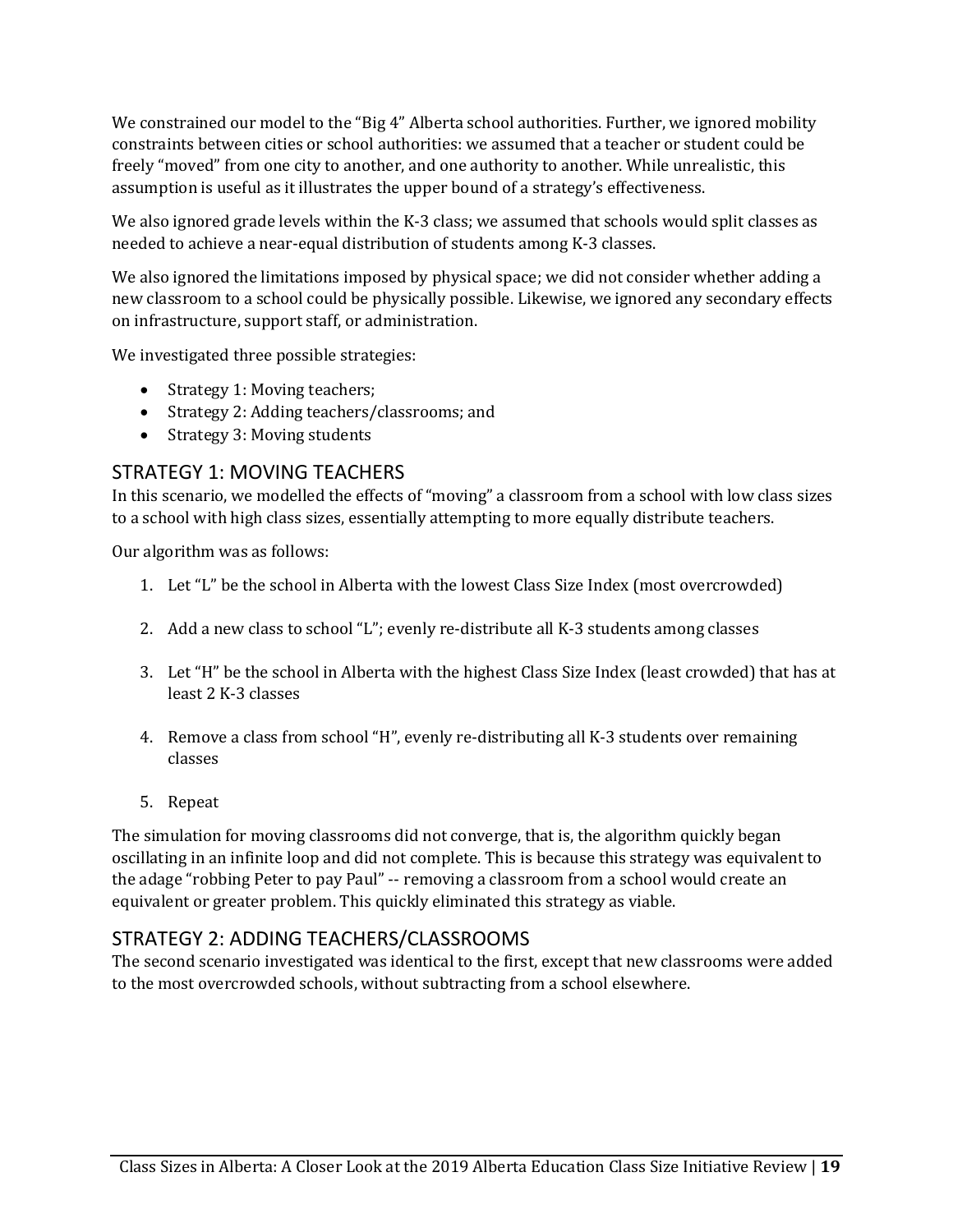We constrained our model to the "Big 4" Alberta school authorities. Further, we ignored mobility constraints between cities or school authorities: we assumed that a teacher or student could be freely "moved" from one city to another, and one authority to another. While unrealistic, this assumption is useful as it illustrates the upper bound of a strategy's effectiveness.

We also ignored grade levels within the K-3 class; we assumed that schools would split classes as needed to achieve a near-equal distribution of students among K-3 classes.

We also ignored the limitations imposed by physical space; we did not consider whether adding a new classroom to a school could be physically possible. Likewise, we ignored any secondary effects on infrastructure, support staff, or administration.

We investigated three possible strategies:

- Strategy 1: Moving teachers;
- Strategy 2: Adding teachers/classrooms; and
- Strategy 3: Moving students

#### <span id="page-19-0"></span>STRATEGY 1: MOVING TEACHERS

In this scenario, we modelled the effects of "moving" a classroom from a school with low class sizes to a school with high class sizes, essentially attempting to more equally distribute teachers.

Our algorithm was as follows:

- 1. Let "L" be the school in Alberta with the lowest Class Size Index (most overcrowded)
- 2. Add a new class to school "L"; evenly re-distribute all K-3 students among classes
- 3. Let "H" be the school in Alberta with the highest Class Size Index (least crowded) that has at least 2 K-3 classes
- 4. Remove a class from school "H", evenly re-distributing all K-3 students over remaining classes
- 5. Repeat

The simulation for moving classrooms did not converge, that is, the algorithm quickly began oscillating in an infinite loop and did not complete. This is because this strategy was equivalent to the adage "robbing Peter to pay Paul" -- removing a classroom from a school would create an equivalent or greater problem. This quickly eliminated this strategy as viable.

#### <span id="page-19-1"></span>STRATEGY 2: ADDING TEACHERS/CLASSROOMS

The second scenario investigated was identical to the first, except that new classrooms were added to the most overcrowded schools, without subtracting from a school elsewhere.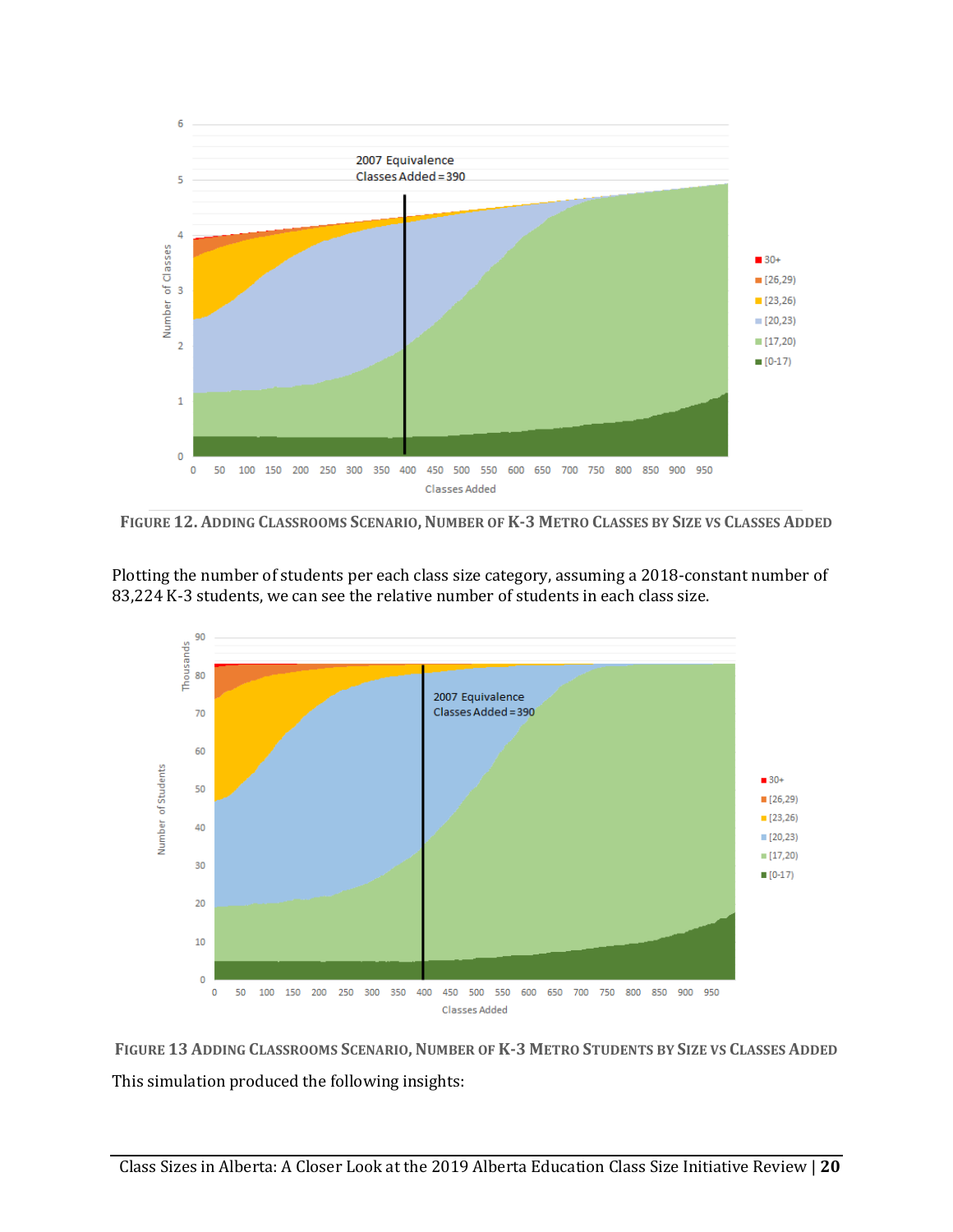

FIGURE 12. ADDING CLASSROOMS SCENARIO, NUMBER OF K-3 METRO CLASSES BY SIZE VS CLASSES ADDED

Plotting the number of students per each class size category, assuming a 2018-constant number of 83,224 K-3 students, we can see the relative number of students in each class size.



FIGURE 13 ADDING CLASSROOMS SCENARIO, NUMBER OF K-3 METRO STUDENTS BY SIZE VS CLASSES ADDED This simulation produced the following insights: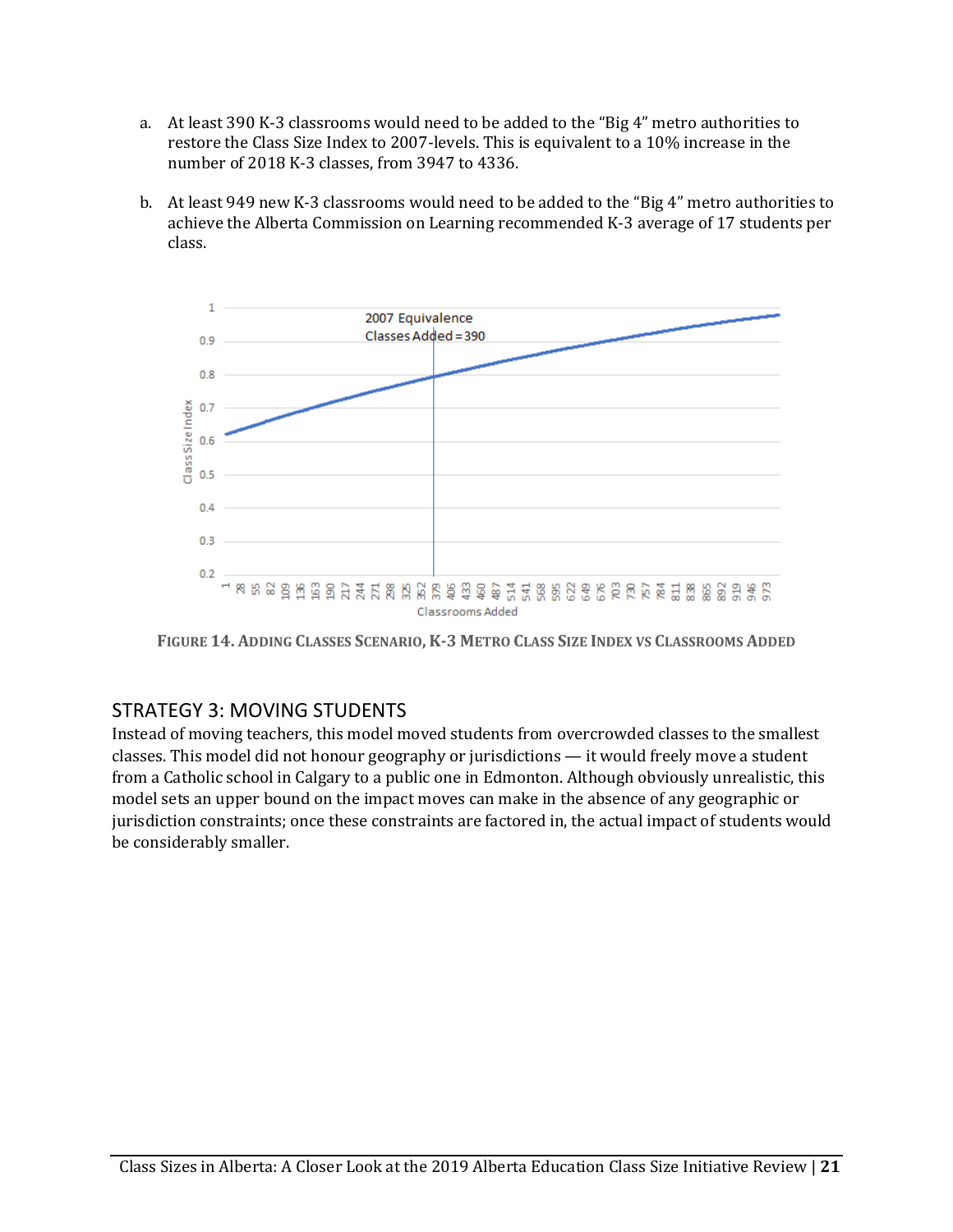- a. At least 390 K-3 classrooms would need to be added to the "Big 4" metro authorities to restore the Class Size Index to 2007-levels. This is equivalent to a 10% increase in the number of 2018 K-3 classes, from 3947 to 4336.
- b. At least 949 new K-3 classrooms would need to be added to the "Big 4" metro authorities to achieve the Alberta Commission on Learning recommended K-3 average of 17 students per class.



FIGURE 14. ADDING CLASSES SCENARIO, K-3 METRO CLASS SIZE INDEX VS CLASSROOMS ADDED

#### <span id="page-21-0"></span>STRATEGY 3: MOVING STUDENTS

Instead of moving teachers, this model moved students from overcrowded classes to the smallest classes. This model did not honour geography or jurisdictions — it would freely move a student from a Catholic school in Calgary to a public one in Edmonton. Although obviously unrealistic, this model sets an upper bound on the impact moves can make in the absence of any geographic or jurisdiction constraints; once these constraints are factored in, the actual impact of students would be considerably smaller.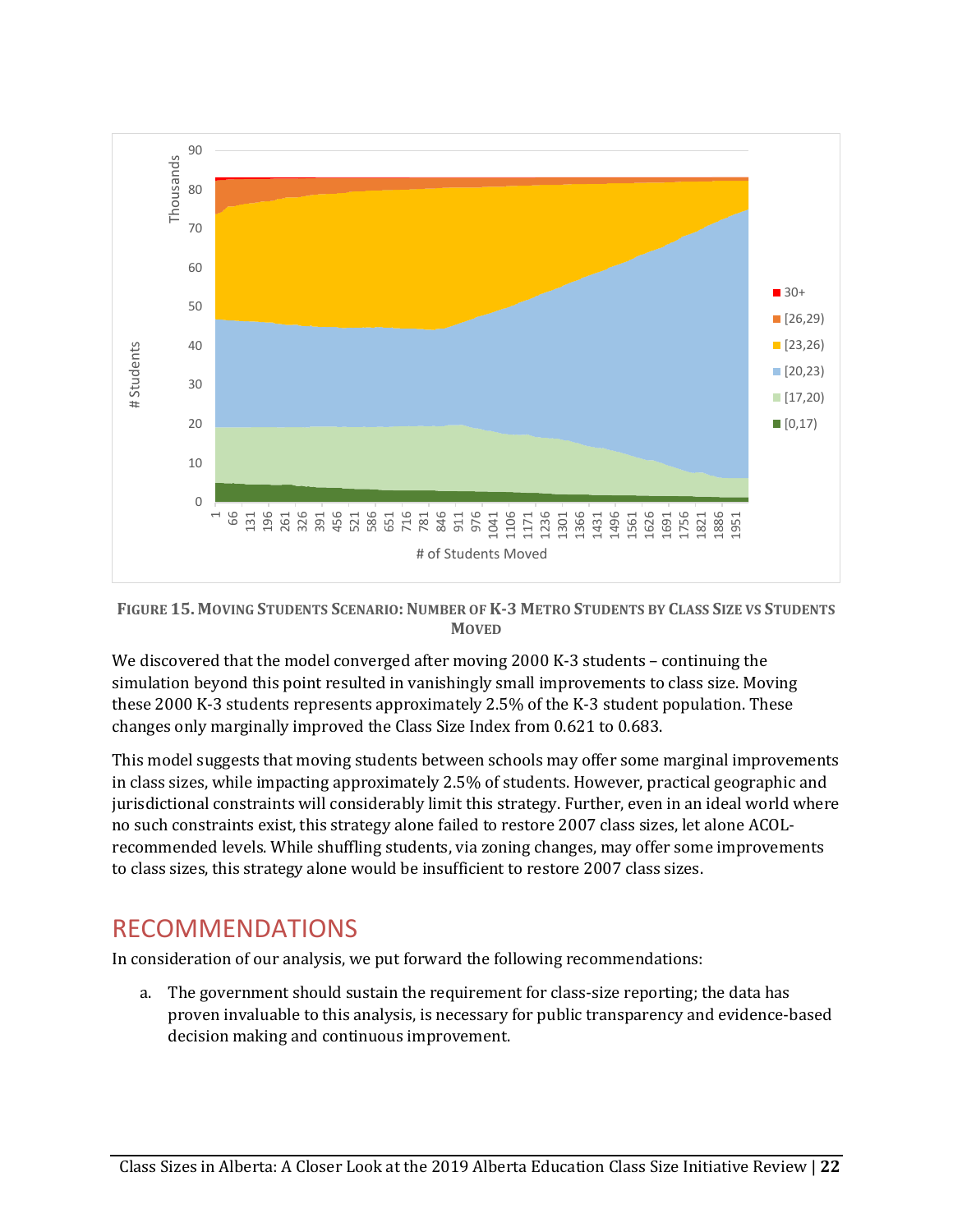

FIGURE 15. MOVING STUDENTS SCENARIO: NUMBER OF K-3 METRO STUDENTS BY CLASS SIZE VS STUDENTS **MOVED**

We discovered that the model converged after moving 2000 K-3 students – continuing the simulation beyond this point resulted in vanishingly small improvements to class size. Moving these 2000 K-3 students represents approximately 2.5% of the K-3 student population. These changes only marginally improved the Class Size Index from 0.621 to 0.683.

This model suggests that moving students between schools may offer some marginal improvements in class sizes, while impacting approximately 2.5% of students. However, practical geographic and jurisdictional constraints will considerably limit this strategy. Further, even in an ideal world where no such constraints exist, this strategy alone failed to restore 2007 class sizes, let alone ACOLrecommended levels. While shuffling students, via zoning changes, may offer some improvements to class sizes, this strategy alone would be insufficient to restore 2007 class sizes.

## <span id="page-22-0"></span>RECOMMENDATIONS

In consideration of our analysis, we put forward the following recommendations:

a. The government should sustain the requirement for class-size reporting; the data has proven invaluable to this analysis, is necessary for public transparency and evidence-based decision making and continuous improvement.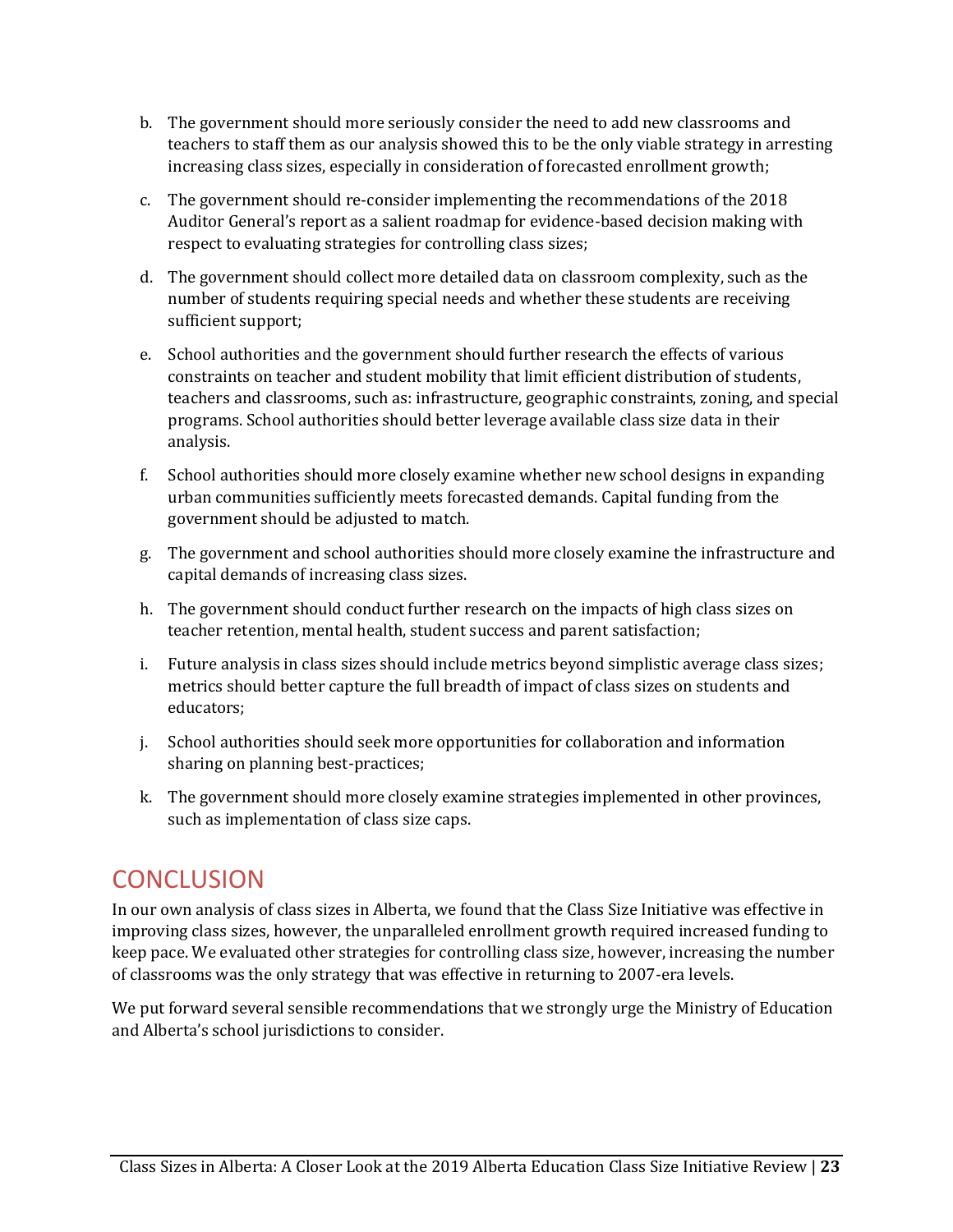- b. The government should more seriously consider the need to add new classrooms and teachers to staff them as our analysis showed this to be the only viable strategy in arresting increasing class sizes, especially in consideration of forecasted enrollment growth;
- c. The government should re-consider implementing the recommendations of the 2018 Auditor General's report as a salient roadmap for evidence-based decision making with respect to evaluating strategies for controlling class sizes;
- d. The government should collect more detailed data on classroom complexity, such as the number of students requiring special needs and whether these students are receiving sufficient support;
- e. School authorities and the government should further research the effects of various constraints on teacher and student mobility that limit efficient distribution of students, teachers and classrooms, such as: infrastructure, geographic constraints, zoning, and special programs. School authorities should better leverage available class size data in their analysis.
- f. School authorities should more closely examine whether new school designs in expanding urban communities sufficiently meets forecasted demands. Capital funding from the government should be adjusted to match.
- g. The government and school authorities should more closely examine the infrastructure and capital demands of increasing class sizes.
- h. The government should conduct further research on the impacts of high class sizes on teacher retention, mental health, student success and parent satisfaction;
- i. Future analysis in class sizes should include metrics beyond simplistic average class sizes; metrics should better capture the full breadth of impact of class sizes on students and educators;
- j. School authorities should seek more opportunities for collaboration and information sharing on planning best-practices;
- k. The government should more closely examine strategies implemented in other provinces, such as implementation of class size caps.

# <span id="page-23-0"></span>**CONCLUSION**

In our own analysis of class sizes in Alberta, we found that the Class Size Initiative was effective in improving class sizes, however, the unparalleled enrollment growth required increased funding to keep pace. We evaluated other strategies for controlling class size, however, increasing the number of classrooms was the only strategy that was effective in returning to 2007-era levels.

We put forward several sensible recommendations that we strongly urge the Ministry of Education and Alberta's school jurisdictions to consider.